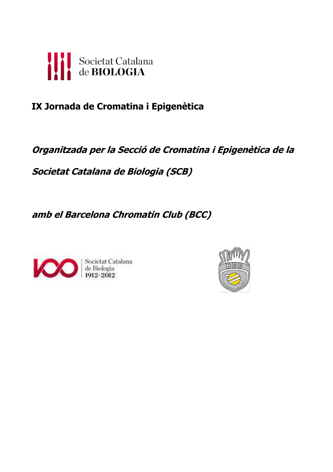

# **IX Jornada de Cromatina i Epigenètica**

# **Organitzada per la Secció de Cromatina i Epigenètica de la**

**Societat Catalana de Biologia (SCB)**

**amb el Barcelona Chromatin Club (BCC)**



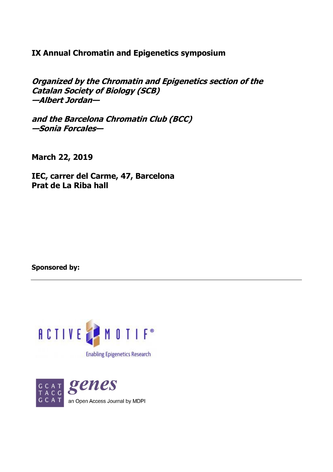# **IX Annual Chromatin and Epigenetics symposium**

**Organized by the Chromatin and Epigenetics section of the Catalan Society of Biology (SCB) —Albert Jordan—**

**and the Barcelona Chromatin Club (BCC) —Sonia Forcales—**

**March 22, 2019**

**IEC, carrer del Carme, 47, Barcelona Prat de La Riba hall**

**Sponsored by:**



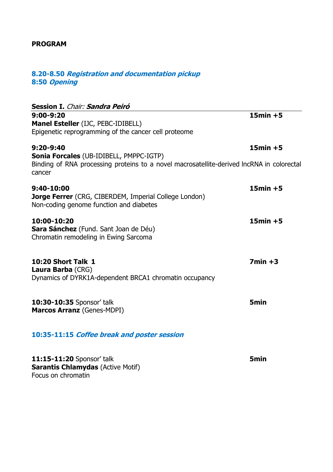# **PROGRAM**

# **8.20-8.50 Registration and documentation pickup 8:50 Opening**

|                                                                                                                                                       | $15min + 5$      |
|-------------------------------------------------------------------------------------------------------------------------------------------------------|------------------|
| $9:00 - 9:20$<br>Manel Esteller (IJC, PEBC-IDIBELL)                                                                                                   |                  |
| Epigenetic reprogramming of the cancer cell proteome                                                                                                  |                  |
| $9:20 - 9:40$                                                                                                                                         | $15min + 5$      |
| <b>Sonia Forcales (UB-IDIBELL, PMPPC-IGTP)</b><br>Binding of RNA processing proteins to a novel macrosatellite-derived lncRNA in colorectal<br>cancer |                  |
| 9:40-10:00                                                                                                                                            | $15min + 5$      |
| Jorge Ferrer (CRG, CIBERDEM, Imperial College London)<br>Non-coding genome function and diabetes                                                      |                  |
| 10:00-10:20                                                                                                                                           | $15min + 5$      |
| Sara Sánchez (Fund. Sant Joan de Déu)<br>Chromatin remodeling in Ewing Sarcoma                                                                        |                  |
| <b>10:20 Short Talk 1</b>                                                                                                                             | $7min + 3$       |
| <b>Laura Barba (CRG)</b><br>Dynamics of DYRK1A-dependent BRCA1 chromatin occupancy                                                                    |                  |
| 10:30-10:35 Sponsor' talk                                                                                                                             | <b>5min</b>      |
| Marcos Arranz (Genes-MDPI)                                                                                                                            |                  |
| 10:35-11:15 Coffee break and poster session                                                                                                           |                  |
| 11:15-11:20 Sponsor' talk                                                                                                                             | 5 <sub>min</sub> |
| <b>Sarantis Chlamydas (Active Motif)</b><br>Focus on chromatin                                                                                        |                  |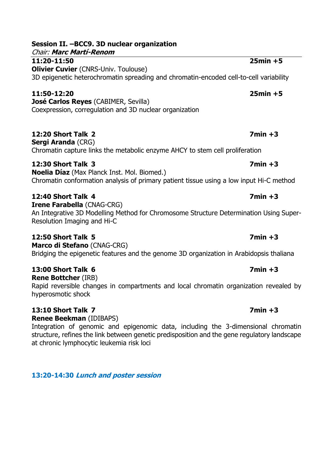| 11:20-11:50                                                                                                                           | $25min + 5$ |
|---------------------------------------------------------------------------------------------------------------------------------------|-------------|
| <b>Olivier Cuvier (CNRS-Univ. Toulouse)</b><br>3D epigenetic heterochromatin spreading and chromatin-encoded cell-to-cell variability |             |
| 11:50-12:20<br>José Carlos Reyes (CABIMER, Sevilla)<br>Coexpression, corregulation and 3D nuclear organization                        | $25min + 5$ |

**12:20 Short Talk 2 7min +3**

**Sergi Aranda** (CRG) Chromatin capture links the metabolic enzyme AHCY to stem cell proliferation

**12:30 Short Talk 3 7min +3 Noelia Díaz** (Max Planck Inst. Mol. Biomed.)

Chromatin conformation analysis of primary patient tissue using a low input Hi-C method

# **12:40 Short Talk 4 7min +3**

**Irene Farabella** (CNAG-CRG) An Integrative 3D Modelling Method for Chromosome Structure Determination Using Super-Resolution Imaging and Hi-C

# **12:50 Short Talk 5 7min +3**

**Marco di Stefano** (CNAG-CRG) Bridging the epigenetic features and the genome 3D organization in Arabidopsis thaliana

# **13:00 Short Talk 6 7min +3**

**Rene Bottcher** (IRB) Rapid reversible changes in compartments and local chromatin organization revealed by hyperosmotic shock

# **13:10 Short Talk 7 7min +3**

**Renee Beekman** (IDIBAPS)

Integration of genomic and epigenomic data, including the 3-dimensional chromatin structure, refines the link between genetic predisposition and the gene regulatory landscape at chronic lymphocytic leukemia risk loci

**13:20-14:30 Lunch and poster session**

# **Session II. –BCC9. 3D nuclear organization**

Chair: **Marc Martí-Renom**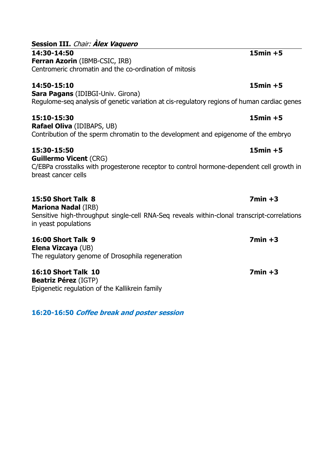| Ferran Azorin (IBMB-CSIC, IRB)<br>Centromeric chromatin and the co-ordination of mitosis                                                         |             |
|--------------------------------------------------------------------------------------------------------------------------------------------------|-------------|
| 14:50-15:10                                                                                                                                      | $15min + 5$ |
| <b>Sara Pagans</b> (IDIBGI-Univ. Girona)<br>Regulome-seg analysis of genetic variation at cis-regulatory regions of human cardiac genes          |             |
| 15:10-15:30                                                                                                                                      | $15min + 5$ |
| <b>Rafael Oliva</b> (IDIBAPS, UB)<br>Contribution of the sperm chromatin to the development and epigenome of the embryo                          |             |
| 15:30-15:50                                                                                                                                      | $15min + 5$ |
| <b>Guillermo Vicent (CRG)</b><br>C/EBPa crosstalks with progesterone receptor to control hormone-dependent cell growth in<br>breast cancer cells |             |
| 15:50 Short Talk 8<br><b>Mariona Nadal (IRB)</b>                                                                                                 | $7min +3$   |
| Sensitive high-throughput single-cell RNA-Seg reveals within-clonal transcript-correlations<br>in yeast populations                              |             |

**16:00 Short Talk 9 7min +3**

**16:10 Short Talk 10 7min +3 Beatriz Pérez** (IGTP) Epigenetic regulation of the Kallikrein family

**16:20-16:50 Coffee break and poster session** 

# **Session III.** Chair: **Àlex Vaquero**

**14:30-14:50 15min +5 Ferran Azorin** (IBMB-CSIC, IRB)

**Ma** Sensitive high-throughput single-cell RNA-Seq reveals within-clonal transcript-correlations in yeast pop

**Elena Vizcaya** (UB) The regulatory genome of Drosophila regeneration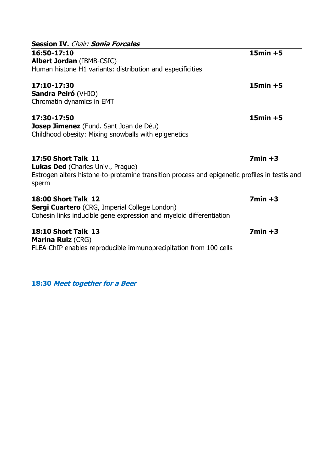| <b>Session IV.</b> Chair: <b>Sonia Forcales</b>                                                                                                                                  |             |
|----------------------------------------------------------------------------------------------------------------------------------------------------------------------------------|-------------|
| 16:50-17:10<br><b>Albert Jordan</b> (IBMB-CSIC)<br>Human histone H1 variants: distribution and especificities                                                                    | $15min + 5$ |
| 17:10-17:30<br><b>Sandra Peiró (VHIO)</b><br>Chromatin dynamics in EMT                                                                                                           | $15min + 5$ |
| 17:30-17:50<br><b>Josep Jimenez</b> (Fund. Sant Joan de Déu)<br>Childhood obesity: Mixing snowballs with epigenetics                                                             | $15min + 5$ |
| <b>17:50 Short Talk 11</b><br><b>Lukas Ded</b> (Charles Univ., Prague)<br>Estrogen alters histone-to-protamine transition process and epigenetic profiles in testis and<br>sperm | $7min + 3$  |
| <b>18:00 Short Talk 12</b><br><b>Sergi Cuartero</b> (CRG, Imperial College London)<br>Cohesin links inducible gene expression and myeloid differentiation                        | $7min +3$   |
| <b>18:10 Short Talk 13</b><br><b>Marina Ruiz (CRG)</b><br>FLEA-ChIP enables reproducible immunoprecipitation from 100 cells                                                      | $7min +3$   |

**18:30 Meet together for a Beer**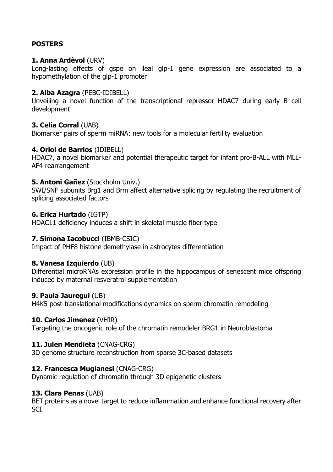# **POSTERS**

# **1. Anna Ardèvol** (URV)

Long-lasting effects of gspe on ileal glp-1 gene expression are associated to a hypomethylation of the glp-1 promoter

# **2. Alba Azagra** (PEBC-IDIBELL)

Unveiling a novel function of the transcriptional repressor HDAC7 during early B cell development

# **3. Celia Corral** (UAB)

Biomarker pairs of sperm miRNA: new tools for a molecular fertility evaluation

# **4. Oriol de Barrios** (IDIBELL)

HDAC7, a novel biomarker and potential therapeutic target for infant pro-B-ALL with MLL-AF4 rearrangement

# **5. Antoni Gañez** (Stockholm Univ.)

SWI/SNF subunits Brg1 and Brm affect alternative splicing by regulating the recruitment of splicing associated factors

# **6. Erica Hurtado** (IGTP)

HDAC11 deficiency induces a shift in skeletal muscle fiber type

# **7. Simona Iacobucci** (IBMB-CSIC)

Impact of PHF8 histone demethylase in astrocytes differentiation

# **8. Vanesa Izquierdo** (UB)

Differential microRNAs expression profile in the hippocampus of senescent mice offspring induced by maternal resveratrol supplementation

# **9. Paula Jauregui** (UB)

H4K5 post-translational modifications dynamics on sperm chromatin remodeling

# **10. Carlos Jimenez** (VHIR)

Targeting the oncogenic role of the chromatin remodeler BRG1 in Neuroblastoma

# **11. Julen Mendieta** (CNAG-CRG)

3D genome structure reconstruction from sparse 3C-based datasets

# **12. Francesca Mugianesi** (CNAG-CRG)

Dynamic regulation of chromatin through 3D epigenetic clusters

# **13. Clara Penas** (UAB)

BET proteins as a novel target to reduce inflammation and enhance functional recovery after **SCI**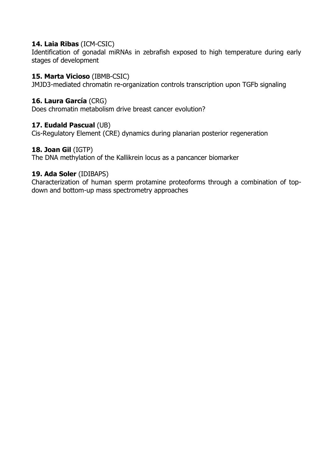# **14. Laia Ribas** (ICM-CSIC)

Identification of gonadal miRNAs in zebrafish exposed to high temperature during early stages of development

# **15. Marta Vicioso** (IBMB-CSIC)

JMJD3-mediated chromatin re-organization controls transcription upon TGFb signaling

# **16. Laura García** (CRG)

Does chromatin metabolism drive breast cancer evolution?

# **17. Eudald Pascual** (UB)

Cis-Regulatory Element (CRE) dynamics during planarian posterior regeneration

# **18. Joan Gil** (IGTP)

The DNA methylation of the Kallikrein locus as a pancancer biomarker

# **19. Ada Soler** (IDIBAPS)

Characterization of human sperm protamine proteoforms through a combination of topdown and bottom-up mass spectrometry approaches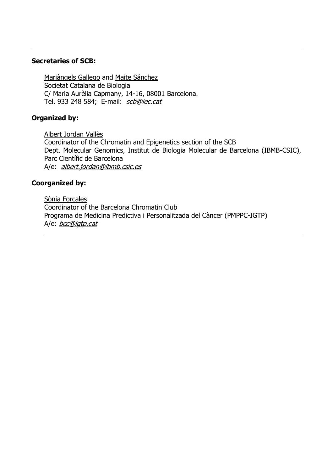## **Secretaries of SCB:**

Mariàngels Gallego and Maite Sánchez Societat Catalana de Biologia C/ Maria Aurèlia Capmany, 14-16, 08001 Barcelona. Tel. 933 248 584; E-mail: [scb@iec.cat](mailto:scb@iec.cat)

# **Organized by:**

Albert Jordan Vallès Coordinator of the Chromatin and Epigenetics section of the SCB Dept. Molecular Genomics, Institut de Biologia Molecular de Barcelona (IBMB-CSIC), Parc Científic de Barcelona A/e: [albert.jordan@ibmb.csic.es](mailto:ajvbmc@ibmb.csic.es?subject=Jornada%20Cromatina%20i%20Epigenetica)

# **Coorganized by:**

Sònia Forcales Coordinator of the Barcelona Chromatin Club Programa de Medicina Predictiva i Personalitzada del Càncer (PMPPC-IGTP) A/e: [bcc@igtp.cat](mailto:bcc@imppc.org)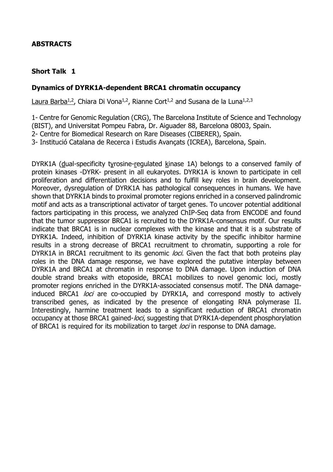# **ABSTRACTS**

# **Short Talk 1**

# **Dynamics of DYRK1A-dependent BRCA1 chromatin occupancy**

Laura Barba<sup>1,2</sup>, Chiara Di Vona<sup>1,2</sup>, Rianne Cort<sup>1,2</sup> and Susana de la Luna<sup>1,2,3</sup>

1- Centre for Genomic Regulation (CRG), The Barcelona Institute of Science and Technology (BIST), and Universitat Pompeu Fabra, Dr. Aiguader 88, Barcelona 08003, Spain. 2- Centre for Biomedical Research on Rare Diseases (CIBERER), Spain.

3- Institució Catalana de Recerca i Estudis Avançats (ICREA), Barcelona, Spain.

DYRK1A (dual-specificity tyrosine-regulated kinase 1A) belongs to a conserved family of protein kinases -DYRK- present in all eukaryotes. DYRK1A is known to participate in cell proliferation and differentiation decisions and to fulfill key roles in brain development. Moreover, dysregulation of DYRK1A has pathological consequences in humans. We have shown that DYRK1A binds to proximal promoter regions enriched in a conserved palindromic motif and acts as a transcriptional activator of target genes. To uncover potential additional factors participating in this process, we analyzed ChIP-Seq data from ENCODE and found that the tumor suppressor BRCA1 is recruited to the DYRK1A-consensus motif. Our results indicate that BRCA1 is in nuclear complexes with the kinase and that it is a substrate of DYRK1A. Indeed, inhibition of DYRK1A kinase activity by the specific inhibitor harmine results in a strong decrease of BRCA1 recruitment to chromatin, supporting a role for DYRK1A in BRCA1 recruitment to its genomic loci. Given the fact that both proteins play roles in the DNA damage response, we have explored the putative interplay between DYRK1A and BRCA1 at chromatin in response to DNA damage. Upon induction of DNA double strand breaks with etoposide, BRCA1 mobilizes to novel genomic loci, mostly promoter regions enriched in the DYRK1A-associated consensus motif. The DNA damageinduced BRCA1 *loci* are co-occupied by DYRK1A, and correspond mostly to actively transcribed genes, as indicated by the presence of elongating RNA polymerase II. Interestingly, harmine treatment leads to a significant reduction of BRCA1 chromatin occupancy at those BRCA1 gained-*loci*, suggesting that DYRK1A-dependent phosphorylation of BRCA1 is required for its mobilization to target loci in response to DNA damage.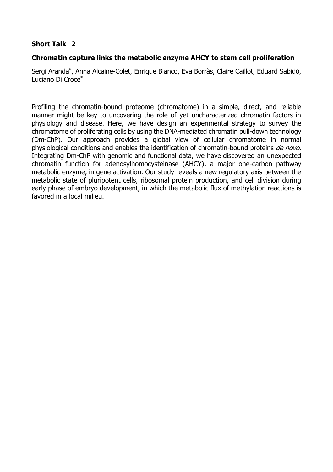# **Chromatin capture links the metabolic enzyme AHCY to stem cell proliferation**

Sergi Aranda\* , Anna Alcaine-Colet, Enrique Blanco, Eva Borràs, Claire Caillot, Eduard Sabidó, Luciano Di Croce\*

Profiling the chromatin-bound proteome (chromatome) in a simple, direct, and reliable manner might be key to uncovering the role of yet uncharacterized chromatin factors in physiology and disease. Here, we have design an experimental strategy to survey the chromatome of proliferating cells by using the DNA-mediated chromatin pull-down technology (Dm-ChP). Our approach provides a global view of cellular chromatome in normal physiological conditions and enables the identification of chromatin-bound proteins de novo. Integrating Dm-ChP with genomic and functional data, we have discovered an unexpected chromatin function for adenosylhomocysteinase (AHCY), a major one-carbon pathway metabolic enzyme, in gene activation. Our study reveals a new regulatory axis between the metabolic state of pluripotent cells, ribosomal protein production, and cell division during early phase of embryo development, in which the metabolic flux of methylation reactions is favored in a local milieu.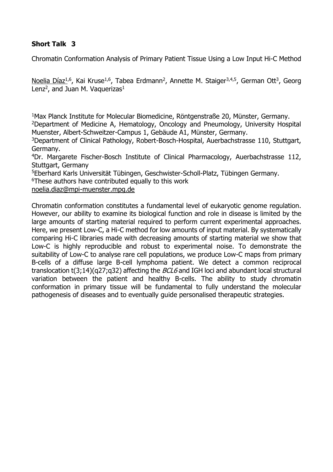Chromatin Conformation Analysis of Primary Patient Tissue Using a Low Input Hi-C Method

Noelia Díaz<sup>1,6</sup>, Kai Kruse<sup>1,6</sup>, Tabea Erdmann<sup>2</sup>, Annette M. Staiger<sup>3,4,5</sup>, German Ott<sup>3</sup>, Georg Lenz<sup>2</sup>, and Juan M. Vaquerizas<sup>1</sup>

<sup>1</sup>Max Planck Institute for Molecular Biomedicine, Röntgenstraße 20, Münster, Germany.

<sup>2</sup>Department of Medicine A, Hematology, Oncology and Pneumology, University Hospital Muenster, Albert-Schweitzer-Campus 1, Gebäude A1, Münster, Germany.

<sup>3</sup>Department of Clinical Pathology, Robert-Bosch-Hospital, Auerbachstrasse 110, Stuttgart, Germany.

<sup>4</sup>Dr. Margarete Fischer-Bosch Institute of Clinical Pharmacology, Auerbachstrasse 112, Stuttgart, Germany

<sup>5</sup>Eberhard Karls Universität Tübingen, Geschwister-Scholl-Platz, Tübingen Germany.

<sup>6</sup>These authors have contributed equally to this work

[noelia.diaz@mpi-muenster.mpg.de](mailto:noelia.diaz@mpi-muenster.mpg.de)

Chromatin conformation constitutes a fundamental level of eukaryotic genome regulation. However, our ability to examine its biological function and role in disease is limited by the large amounts of starting material required to perform current experimental approaches. Here, we present Low-C, a Hi-C method for low amounts of input material. By systematically comparing Hi-C libraries made with decreasing amounts of starting material we show that Low-C is highly reproducible and robust to experimental noise. To demonstrate the suitability of Low-C to analyse rare cell populations, we produce Low-C maps from primary B-cells of a diffuse large B-cell lymphoma patient. We detect a common reciprocal translocation t(3;14)(q27;q32) affecting the  $BCL6$  and IGH loci and abundant local structural variation between the patient and healthy B-cells. The ability to study chromatin conformation in primary tissue will be fundamental to fully understand the molecular pathogenesis of diseases and to eventually guide personalised therapeutic strategies.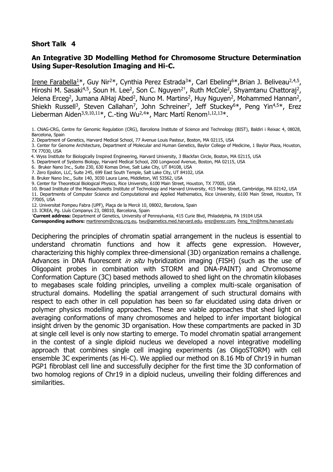# **An Integrative 3D Modelling Method for Chromosome Structure Determination Using Super-Resolution Imaging and Hi-C.**

Irene Farabella<sup>1\*</sup>, Guy Nir<sup>2\*</sup>, Cynthia Perez Estrada<sup>3\*</sup>, Carl Ebeling<sup>6\*</sup>,Brian J. Beliveau<sup>2,4,5</sup>, Hiroshi M. Sasaki<sup>4,5</sup>, Soun H. Lee<sup>2</sup>, Son C. Nguyen<sup>2†</sup>, Ruth McCole<sup>2</sup>, Shyamtanu Chattoraj<sup>2</sup>, Jelena Erceg<sup>2</sup>, Jumana AlHaj Abed<sup>2</sup>, Nuno M. Martins<sup>2</sup>, Huy Nguyen<sup>2</sup>, Mohammed Hannan<sup>2</sup>, Shiekh Russell<sup>3</sup>, Steven Callahan<sup>7</sup>, John Schreiner<sup>7</sup>, Jeff Stuckey<sup>6\*</sup>, Peng Yin<sup>4,5\*</sup>, Erez Lieberman Aiden<sup>3,9,10,11\*</sup>, C.-ting Wu<sup>2,4\*</sup>, Marc Martí Renom<sup>1,12,13\*</sup>.

1. CNAG-CRG, Centre for Genomic Regulation (CRG), Barcelona Institute of Science and Technology (BIST), Baldiri i Reixac 4, 08028, Barcelona, Spain

3. Center for Genome Architecture, Department of Molecular and Human Genetics, Baylor College of Medicine, 1 Baylor Plaza, Houston, TX 77030, USA

- 4. Wyss Institute for Biologically Inspired Engineering, Harvard University, 3 Blackfan Circle, Boston, MA 02115, USA
- 5. Department of Systems Biology, Harvard Medical School, 200 Longwood Avenue, Boston, MA 02115, USA
- 6. Bruker Nano Inc., Suite 230, 630 Komas Drive, Salt Lake City, UT 84108, USA
- 7. Zero Epsilon, LLC, Suite 245, 699 East South Temple, Salt Lake City, UT 84102, USA
- 8. Bruker Nano Inc., Suite 140, 3030 Laura Lane, Middleton, WI 53562, USA
- 9. Center for Theoretical Biological Physics, Rice University, 6100 Main Street, Houston, TX 77005, USA

10. Broad Institute of the Massachusetts Institute of Technology and Harvard University, 415 Main Street, Cambridge, MA 02142, USA

11. Departments of Computer Science and Computational and Applied Mathematics, Rice University, 6100 Main Street, Houston, TX 77005, USA

12. Universitat Pompeu Fabra (UPF), Plaça de la Mercè 10, 08002, Barcelona, Spain

- 13. ICREA, Pg. Lluís Companys 23, 08010, Barcelona, Spain
- †**Current address:** Department of Genetics, University of Pennsylvania, 415 Curie Blvd, Philadelphia, PA 19104 USA

**Corresponding authors:** [martirenom@cnag.crg.eu,](mailto:martirenom@cnag.crg.eu) [twu@genetics.med.harvard.edu,](mailto:twu@genetics.med.harvard.edu) [erez@erez.com,](mailto:erez@erez.com) [Peng\\_Yin@hms.harvard.edu](mailto:Peng_Yin@hms.harvard.edu)

Deciphering the principles of chromatin spatial arrangement in the nucleus is essential to understand chromatin functions and how it affects gene expression. However, characterizing this highly complex three-dimensional (3D) organization remains a challenge. Advances in DNA fluorescent in situ hybridization imaging (FISH) (such as the use of Oligopaint probes in combination with STORM and DNA-PAINT) and Chromosome Conformation Capture (3C) based methods allowed to shed light on the chromatin kilobases to megabases scale folding principles, unveiling a complex multi-scale organisation of structural domains. Modelling the spatial arrangement of such structural domains with respect to each other in cell population has been so far elucidated using data driven or polymer physics modelling approaches. These are viable approaches that shed light on averaging conformations of many chromosomes and helped to infer important biological insight driven by the genomic 3D organisation. How these compartments are packed in 3D at single cell level is only now starting to emerge. To model chromatin spatial arrangement in the contest of a single diploid nucleus we developed a novel integrative modelling approach that combines single cell imaging experiments (as OligoSTORM) with cell ensemble 3C experiments (as Hi-C). We applied our method on 8.16 Mb of Chr19 in human PGP1 fibroblast cell line and successfully decipher for the first time the 3D conformation of two homolog regions of Chr19 in a diploid nucleus, unveiling their folding differences and similarities.

<sup>2.</sup> Department of Genetics, Harvard Medical School, 77 Avenue Louis Pasteur, Boston, MA 02115, USA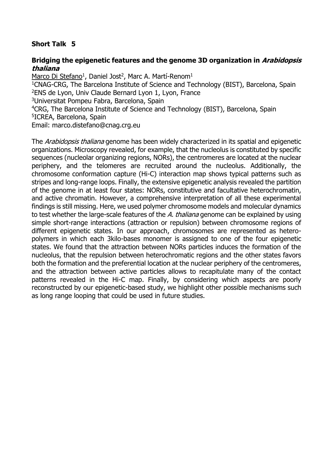# **Bridging the epigenetic features and the genome 3D organization in Arabidopsis thaliana**

<u>Marco Di Stefano</u><sup>1</sup>, Daniel Jost<sup>2</sup>, Marc A. Martí-Renom<sup>1</sup> <sup>1</sup>CNAG-CRG, The Barcelona Institute of Science and Technology (BIST), Barcelona, Spain <sup>2</sup>ENS de Lyon, Univ Claude Bernard Lyon 1, Lyon, France <sup>3</sup>Universitat Pompeu Fabra, Barcelona, Spain <sup>4</sup>CRG, The Barcelona Institute of Science and Technology (BIST), Barcelona, Spain 5 ICREA, Barcelona, Spain Email: marco.distefano@cnag.crg.eu

The *Arabidopsis thaliana* genome has been widely characterized in its spatial and epigenetic organizations. Microscopy revealed, for example, that the nucleolus is constituted by specific sequences (nucleolar organizing regions, NORs), the centromeres are located at the nuclear periphery, and the telomeres are recruited around the nucleolus. Additionally, the chromosome conformation capture (Hi-C) interaction map shows typical patterns such as stripes and long-range loops. Finally, the extensive epigenetic analysis revealed the partition of the genome in at least four states: NORs, constitutive and facultative heterochromatin, and active chromatin. However, a comprehensive interpretation of all these experimental findings is still missing. Here, we used polymer chromosome models and molecular dynamics to test whether the large-scale features of the A. thaliana genome can be explained by using simple short-range interactions (attraction or repulsion) between chromosome regions of different epigenetic states. In our approach, chromosomes are represented as heteropolymers in which each 3kilo-bases monomer is assigned to one of the four epigenetic states. We found that the attraction between NORs particles induces the formation of the nucleolus, that the repulsion between heterochromatic regions and the other states favors both the formation and the preferential location at the nuclear periphery of the centromeres, and the attraction between active particles allows to recapitulate many of the contact patterns revealed in the Hi-C map. Finally, by considering which aspects are poorly reconstructed by our epigenetic-based study, we highlight other possible mechanisms such as long range looping that could be used in future studies.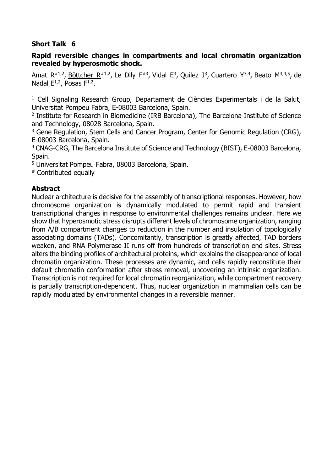# **Rapid reversible changes in compartments and local chromatin organization revealed by hyperosmotic shock.**

[Amat R](https://www.ncbi.nlm.nih.gov/pubmed/?term=Amat%20R%5BAuthor%5D&cauthor=true&cauthor_uid=30523037)<sup>#1,2</sup>, <u>[Böttcher R](https://www.ncbi.nlm.nih.gov/pubmed/?term=B%C3%B6ttcher%20R%5BAuthor%5D&cauthor=true&cauthor_uid=30523037)</u><sup>#1,2</sup>, [Le Dily F](https://www.ncbi.nlm.nih.gov/pubmed/?term=Le%20Dily%20F%5BAuthor%5D&cauthor=true&cauthor_uid=30523037)<sup>#3</sup>, [Vidal E](https://www.ncbi.nlm.nih.gov/pubmed/?term=Vidal%20E%5BAuthor%5D&cauthor=true&cauthor_uid=30523037)<sup>3</sup>, [Quilez J](https://www.ncbi.nlm.nih.gov/pubmed/?term=Quilez%20J%5BAuthor%5D&cauthor=true&cauthor_uid=30523037)<sup>3</sup>, [Cuartero Y](https://www.ncbi.nlm.nih.gov/pubmed/?term=Cuartero%20Y%5BAuthor%5D&cauthor=true&cauthor_uid=30523037)<sup>3,4</sup>, [Beato M](https://www.ncbi.nlm.nih.gov/pubmed/?term=Beato%20M%5BAuthor%5D&cauthor=true&cauthor_uid=30523037)<sup>3,4,5</sup>, de [Nadal E](https://www.ncbi.nlm.nih.gov/pubmed/?term=de%20Nadal%20E%5BAuthor%5D&cauthor=true&cauthor_uid=30523037)<sup>1,2</sup>, [Posas F](https://www.ncbi.nlm.nih.gov/pubmed/?term=Posas%20F%5BAuthor%5D&cauthor=true&cauthor_uid=30523037)<sup>1,2</sup>.

<sup>1</sup> Cell Signaling Research Group, Departament de Ciències Experimentals i de la Salut, Universitat Pompeu Fabra, E-08003 Barcelona, Spain.

2 Institute for Research in Biomedicine (IRB Barcelona), The Barcelona Institute of Science and Technology, 08028 Barcelona, Spain.

<sup>3</sup> Gene Regulation, Stem Cells and Cancer Program, Center for Genomic Regulation (CRG), E-08003 Barcelona, Spain.

<sup>4</sup> CNAG-CRG, The Barcelona Institute of Science and Technology (BIST), E-08003 Barcelona, Spain.

<sup>5</sup> Universitat Pompeu Fabra, 08003 Barcelona, Spain.

# Contributed equally

# **Abstract**

Nuclear architecture is decisive for the assembly of transcriptional responses. However, how chromosome organization is dynamically modulated to permit rapid and transient transcriptional changes in response to environmental challenges remains unclear. Here we show that hyperosmotic stress disrupts different levels of chromosome organization, ranging from A/B compartment changes to reduction in the number and insulation of topologically associating domains (TADs). Concomitantly, transcription is greatly affected, TAD borders weaken, and RNA Polymerase II runs off from hundreds of transcription end sites. Stress alters the binding profiles of architectural proteins, which explains the disappearance of local chromatin organization. These processes are dynamic, and cells rapidly reconstitute their default chromatin conformation after stress removal, uncovering an intrinsic organization. Transcription is not required for local chromatin reorganization, while compartment recovery is partially transcription-dependent. Thus, nuclear organization in mammalian cells can be rapidly modulated by environmental changes in a reversible manner.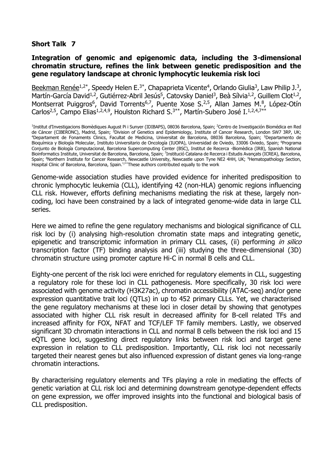# **Integration of genomic and epigenomic data, including the 3-dimensional chromatin structure, refines the link between genetic predisposition and the gene regulatory landscape at chronic lymphocytic leukemia risk loci**

Beekman Renée<sup>1,2\*</sup>, Speedy Helen E.<sup>3\*</sup>, Chapaprieta Vicente<sup>4</sup>, Orlando Giulia<sup>3</sup>, Law Philip J.<sup>3</sup>, Martín-García David<sup>1,2</sup>, Gutiérrez-Abril Jesús<sup>5</sup>, Catovsky Daniel<sup>3</sup>, Beà Sílvia<sup>1,2</sup>, Guillem Clot<sup>1,2</sup>, Montserrat Puiggros<sup>6</sup>, David Torrents<sup>6,7</sup>, Puente Xose S.<sup>2,5</sup>, Allan James M.<sup>8</sup>, López-Otín Carlos<sup>2,5</sup>, Campo Elias<sup>1,2,4,9</sup>, Houlston Richard S.<sup>3\*\*</sup>, Martín-Subero José I.<sup>1,2,4,7\*</sup>

<sup>1</sup>Institut d'Investigacions Biomèdiques August Pi i Sunyer (IDIBAPS), 08036 Barcelona, Spain; <sup>2</sup>Centro de Investigación Biomédica en Red de Cáncer (CIBERONC), Madrid, Spain; <sup>3</sup>Division of Genetics and Epidemiology, Institute of Cancer Research, London SW7 3RP, UK; <sup>4</sup>Departament de Fonaments Clinics, Facultat de Medicina, Universitat de Barcelona, 08036 Barcelona, Spain; <sup>5</sup>Departamento de Bioquímica y Biología Molecular, Instituto Universitario de Oncología (IUOPA), Universidad de Oviedo, 33006 Oviedo, Spain; <sup>6</sup>Programa Conjunto de Biología Computacional, Barcelona Supercomputing Center (BSC), Institut de Recerca -Biomèdica (IRB), Spanish National Bioinformatics Institute, Universitat de Barcelona, Barcelona, Spain; <sup>7</sup>Institució Catalana de Recerca i Estudis Avançats (ICREA), Barcelona, Spain; <sup>8</sup>Northern Institute for Cancer Research, Newcastle University, Newcastle upon Tyne NE2 4HH, UK; <sup>9</sup>Hematopathology Section, Hospital Clinic of Barcelona, Barcelona, Spain.\*/\*\*These authors contributed equally to the work

Genome-wide association studies have provided evidence for inherited predisposition to chronic lymphocytic leukemia (CLL), identifying 42 (non-HLA) genomic regions influencing CLL risk. However, efforts defining mechanisms mediating the risk at these, largely noncoding, loci have been constrained by a lack of integrated genome-wide data in large CLL series.

Here we aimed to refine the gene regulatory mechanisms and biological significance of CLL risk loci by (i) analysing high-resolution chromatin state maps and integrating genetic, epigenetic and transcriptomic information in primary CLL cases, (ii) performing in silico transcription factor (TF) binding analysis and (iii) studying the three-dimensional (3D) chromatin structure using promoter capture Hi-C in normal B cells and CLL.

Eighty-one percent of the risk loci were enriched for regulatory elements in CLL, suggesting a regulatory role for these loci in CLL pathogenesis. More specifically, 30 risk loci were associated with genome activity (H3K27ac), chromatin accessibility (ATAC-seq) and/or gene expression quantitative trait loci (QTLs) in up to 452 primary CLLs. Yet, we characterised the gene regulatory mechanisms at these loci in closer detail by showing that genotypes associated with higher CLL risk result in decreased affinity for B-cell related TFs and increased affinity for FOX, NFAT and TCF/LEF TF family members. Lastly, we observed significant 3D chromatin interactions in CLL and normal B cells between the risk loci and 15 eQTL gene loci, suggesting direct regulatory links between risk loci and target gene expression in relation to CLL predisposition. Importantly, CLL risk loci not necessarily targeted their nearest genes but also influenced expression of distant genes via long-range chromatin interactions.

By characterising regulatory elements and TFs playing a role in mediating the effects of genetic variation at CLL risk loci and determining downstream genotype-dependent effects on gene expression, we offer improved insights into the functional and biological basis of CLL predisposition.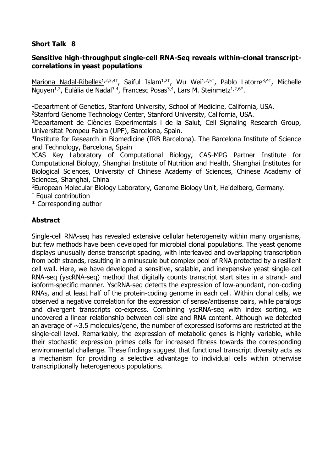# **Sensitive high-throughput single-cell RNA-Seq reveals within-clonal transcriptcorrelations in yeast populations**

Mariona Nadal-Ribelles<sup>1,2,3,4†</sup>, Saiful Islam<sup>1,2†</sup>, Wu Wei<sup>1,2,5†</sup>, Pablo Latorre<sup>3,4†</sup>, Michelle Nguyen<sup>1,2</sup>, Eulàlia de Nadal<sup>3,4</sup>, Francesc Posas<sup>3,4</sup>, Lars M. Steinmetz<sup>1,2,6\*</sup>.

<sup>1</sup>Department of Genetics, Stanford University, School of Medicine, California, USA.

<sup>2</sup>Stanford Genome Technology Center, Stanford University, California, USA.

<sup>3</sup>Departament de Ciències Experimentals i de la Salut, Cell Signaling Research Group, Universitat Pompeu Fabra (UPF), Barcelona, Spain.

4 Institute for Research in Biomedicine (IRB Barcelona). The Barcelona Institute of Science and Technology, Barcelona, Spain

<sup>5</sup>CAS Key Laboratory of Computational Biology, CAS-MPG Partner Institute for Computational Biology, Shanghai Institute of Nutrition and Health, Shanghai Institutes for Biological Sciences, University of Chinese Academy of Sciences, Chinese Academy of Sciences, Shanghai, China

<sup>6</sup>European Molecular Biology Laboratory, Genome Biology Unit, Heidelberg, Germany.

† Equal contribution

\* Corresponding author

# **Abstract**

Single-cell RNA-seq has revealed extensive cellular heterogeneity within many organisms, but few methods have been developed for microbial clonal populations. The yeast genome displays unusually dense transcript spacing, with interleaved and overlapping transcription from both strands, resulting in a minuscule but complex pool of RNA protected by a resilient cell wall. Here, we have developed a sensitive, scalable, and inexpensive yeast single-cell RNA-seq (yscRNA-seq) method that digitally counts transcript start sites in a strand- and isoform-specific manner. YscRNA-seq detects the expression of low-abundant, non-coding RNAs, and at least half of the protein-coding genome in each cell. Within clonal cells, we observed a negative correlation for the expression of sense/antisense pairs, while paralogs and divergent transcripts co-express. Combining yscRNA-seq with index sorting, we uncovered a linear relationship between cell size and RNA content. Although we detected an average of  $\sim$ 3.5 molecules/gene, the number of expressed isoforms are restricted at the single-cell level. Remarkably, the expression of metabolic genes is highly variable, while their stochastic expression primes cells for increased fitness towards the corresponding environmental challenge. These findings suggest that functional transcript diversity acts as a mechanism for providing a selective advantage to individual cells within otherwise transcriptionally heterogeneous populations.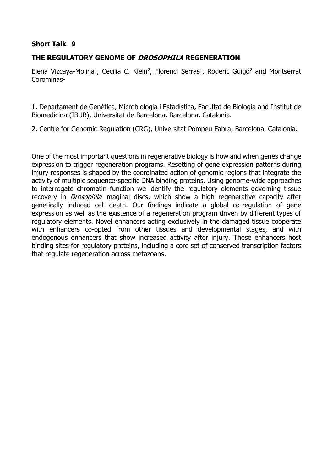# **THE REGULATORY GENOME OF DROSOPHILA REGENERATION**

Elena Vizcaya-Molina<sup>1</sup>, Cecilia C. Klein<sup>2</sup>, Florenci Serras<sup>1</sup>, Roderic Guigó<sup>2</sup> and Montserrat  $Corominas<sup>1</sup>$ 

1. Departament de Genètica, Microbiologia i Estadística, Facultat de Biologia and Institut de Biomedicina (IBUB), Universitat de Barcelona, Barcelona, Catalonia.

2. Centre for Genomic Regulation (CRG), Universitat Pompeu Fabra, Barcelona, Catalonia.

One of the most important questions in regenerative biology is how and when genes change expression to trigger regeneration programs. Resetting of gene expression patterns during injury responses is shaped by the coordinated action of genomic regions that integrate the activity of multiple sequence-specific DNA binding proteins. Using genome-wide approaches to interrogate chromatin function we identify the regulatory elements governing tissue recovery in *Drosophila* imaginal discs, which show a high regenerative capacity after genetically induced cell death. Our findings indicate a global co-regulation of gene expression as well as the existence of a regeneration program driven by different types of regulatory elements. Novel enhancers acting exclusively in the damaged tissue cooperate with enhancers co-opted from other tissues and developmental stages, and with endogenous enhancers that show increased activity after injury. These enhancers host binding sites for regulatory proteins, including a core set of conserved transcription factors that regulate regeneration across metazoans.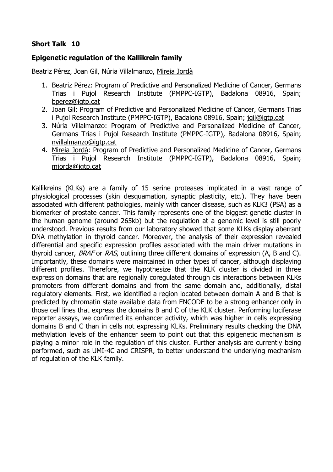# **Epigenetic regulation of the Kallikrein family**

Beatriz Pérez, Joan Gil, Núria Villalmanzo, Mireia Jordà

- 1. Beatriz Pérez: Program of Predictive and Personalized Medicine of Cancer, Germans Trias i Pujol Research Institute (PMPPC-IGTP), Badalona 08916, Spain; [bperez@igtp.cat](mailto:bperez@igtp.cat)
- 2. Joan Gil: Program of Predictive and Personalized Medicine of Cancer, Germans Trias i Pujol Research Institute (PMPPC-IGTP), Badalona 08916, Spain; [jgil@igtp.cat](mailto:jgil@igtp.cat)
- 3. Núria Villalmanzo: Program of Predictive and Personalized Medicine of Cancer, Germans Trias i Pujol Research Institute (PMPPC-IGTP), Badalona 08916, Spain; [nvillalmanzo@igtp.cat](mailto:nvillalmanzo@igtp.cat)
- 4. Mireia Jordà: Program of Predictive and Personalized Medicine of Cancer, Germans Trias i Pujol Research Institute (PMPPC-IGTP), Badalona 08916, Spain; [mjorda@igtp.cat](mailto:mjorda@igtp.cat)

Kallikreins (KLKs) are a family of 15 serine proteases implicated in a vast range of physiological processes (skin desquamation, synaptic plasticity, etc.). They have been associated with different pathologies, mainly with cancer disease, such as KLK3 (PSA) as a biomarker of prostate cancer. This family represents one of the biggest genetic cluster in the human genome (around 265kb) but the regulation at a genomic level is still poorly understood. Previous results from our laboratory showed that some KLKs display aberrant DNA methylation in thyroid cancer. Moreover, the analysis of their expression revealed differential and specific expression profiles associated with the main driver mutations in thyroid cancer, BRAF or RAS, outlining three different domains of expression (A, B and C). Importantly, these domains were maintained in other types of cancer, although displaying different profiles. Therefore, we hypothesize that the KLK cluster is divided in three expression domains that are regionally coregulated through cis interactions between KLKs promoters from different domains and from the same domain and, additionally, distal regulatory elements. First, we identified a region located between domain A and B that is predicted by chromatin state available data from ENCODE to be a strong enhancer only in those cell lines that express the domains B and C of the KLK cluster. Performing luciferase reporter assays, we confirmed its enhancer activity, which was higher in cells expressing domains B and C than in cells not expressing KLKs. Preliminary results checking the DNA methylation levels of the enhancer seem to point out that this epigenetic mechanism is playing a minor role in the regulation of this cluster. Further analysis are currently being performed, such as UMI-4C and CRISPR, to better understand the underlying mechanism of regulation of the KLK family.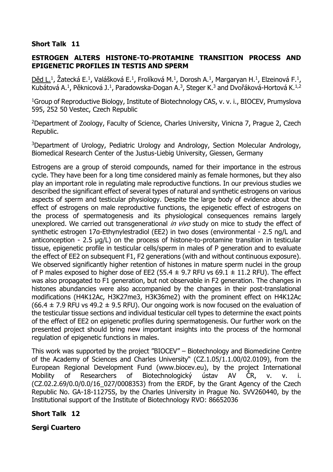# **ESTROGEN ALTERS HISTONE-TO-PROTAMINE TRANSITION PROCESS AND EPIGENETIC PROFILES IN TESTIS AND SPERM**

<u>Děd L.</u>1, Zatecká E.1, Valášková E.1, Frolíková M.1, Dorosh A.1, Margaryan H.1, Elzeinová F.1, Kubátová A.<sup>1</sup>, Pěknicová J.<sup>1</sup>, Paradowska-Dogan A.<sup>3</sup>, Steger K.<sup>3</sup> and Dvořáková-Hortová K.<sup>1,2</sup>

<sup>1</sup>Group of Reproductive Biology, Institute of Biotechnology CAS, v. v. i., BIOCEV, Prumyslova 595, 252 50 Vestec, Czech Republic

<sup>2</sup>Department of Zoology, Faculty of Science, Charles University, Vinicna 7, Prague 2, Czech Republic.

<sup>3</sup>Department of Urology, Pediatric Urology and Andrology, Section Molecular Andrology, Biomedical Research Center of the Justus-Liebig University, Giessen, Germany

Estrogens are a group of steroid compounds, named for their importance in the estrous cycle. They have been for a long time considered mainly as female hormones, but they also play an important role in regulating male reproductive functions. In our previous studies we described the significant effect of several types of natural and synthetic estrogens on various aspects of sperm and testicular physiology. Despite the large body of evidence about the effect of estrogens on male reproductive functions, the epigenetic effect of estrogens on the process of spermatogenesis and its physiological consequences remains largely unexplored. We carried out transgenerational *in vivo* study on mice to study the effect of synthetic estrogen 17a-Ethynylestradiol (EE2) in two doses (environmental - 2.5 ng/L and anticonception - 2.5 µg/L) on the process of histone-to-protamine transition in testicular tissue, epigenetic profile in testicular cells/sperm in males of P generation and to evaluate the effect of EE2 on subsequent F1, F2 generations (with and without continuous exposure). We observed significantly higher retention of histones in mature sperm nuclei in the group of P males exposed to higher dose of EE2 (55.4  $\pm$  9.7 RFU vs 69.1  $\pm$  11.2 RFU). The effect was also propagated to F1 generation, but not observable in F2 generation. The changes in histones abundancies were also accompanied by the changes in their post-translational modifications (H4K12Ac, H3K27me3, H3K36me2) with the prominent effect on H4K12Ac  $(66.4 \pm 7.9$  RFU vs 49.2  $\pm$  9.5 RFU). Our ongoing work is now focused on the evaluation of the testicular tissue sections and individual testicular cell types to determine the exact points of the effect of EE2 on epigenetic profiles during spermatogenesis. Our further work on the presented project should bring new important insights into the process of the hormonal regulation of epigenetic functions in males.

This work was supported by the project "BIOCEV" – Biotechnology and Biomedicine Centre of the Academy of Sciences and Charles University" (CZ.1.05/1.1.00/02.0109), from the European Regional Development Fund (www.biocev.eu), by the project International Mobility of Researchers of Biotechnologický ústav AV ČR, v. v. i. (CZ.02.2.69/0.0/0.0/16\_027/0008353) from the ERDF, by the Grant Agency of the Czech Republic No. GA-18-11275S, by the Charles University in Prague No. SVV260440, by the Institutional support of the Institute of Biotechnology RVO: 86652036

# **Short Talk 12**

# **Sergi Cuartero**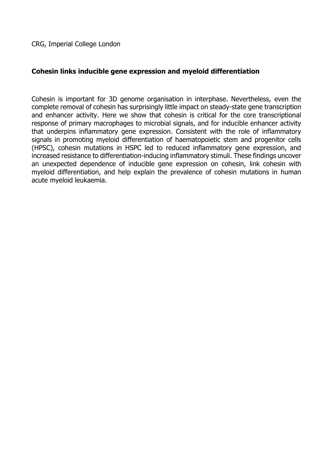# **Cohesin links inducible gene expression and myeloid differentiation**

Cohesin is important for 3D genome organisation in interphase. Nevertheless, even the complete removal of cohesin has surprisingly little impact on steady-state gene transcription and enhancer activity. Here we show that cohesin is critical for the core transcriptional response of primary macrophages to microbial signals, and for inducible enhancer activity that underpins inflammatory gene expression. Consistent with the role of inflammatory signals in promoting myeloid differentiation of haematopoietic stem and progenitor cells (HPSC), cohesin mutations in HSPC led to reduced inflammatory gene expression, and increased resistance to differentiation-inducing inflammatory stimuli. These findings uncover an unexpected dependence of inducible gene expression on cohesin, link cohesin with myeloid differentiation, and help explain the prevalence of cohesin mutations in human acute myeloid leukaemia.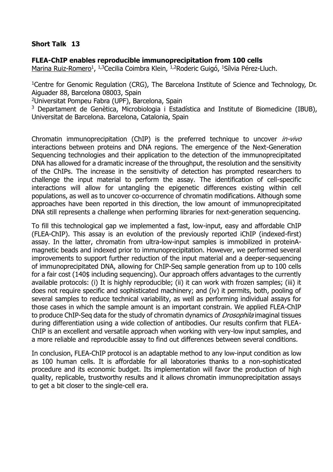# **FLEA-ChIP enables reproducible immunoprecipitation from 100 cells**

Marina Ruiz-Romero<sup>1</sup>, <sup>1,3</sup>Cecilia Coimbra Klein, <sup>1,2</sup>Roderic Guigó, <sup>1</sup>Sílvia Pérez-Lluch.

<sup>1</sup>Centre for Genomic Regulation (CRG), The Barcelona Institute of Science and Technology, Dr. Aiguader 88, Barcelona 08003, Spain

<sup>2</sup>Universitat Pompeu Fabra (UPF), Barcelona, Spain

<sup>3</sup> Departament de Genètica, Microbiologia i Estadística and Institute of Biomedicine (IBUB), Universitat de Barcelona. Barcelona, Catalonia, Spain

Chromatin immunoprecipitation (ChIP) is the preferred technique to uncover *in-vivo* interactions between proteins and DNA regions. The emergence of the Next-Generation Sequencing technologies and their application to the detection of the immunoprecipitated DNA has allowed for a dramatic increase of the throughput, the resolution and the sensitivity of the ChIPs. The increase in the sensitivity of detection has prompted researchers to challenge the input material to perform the assay. The identification of cell-specific interactions will allow for untangling the epigenetic differences existing within cell populations, as well as to uncover co-occurrence of chromatin modifications. Although some approaches have been reported in this direction, the low amount of immunoprecipitated DNA still represents a challenge when performing libraries for next-generation sequencing.

To fill this technological gap we implemented a fast, low-input, easy and affordable ChIP (FLEA-ChIP). This assay is an evolution of the previously reported iChIP (indexed-first) assay. In the latter, chromatin from ultra-low-input samples is immobilized in proteinAmagnetic beads and indexed prior to immunoprecipitation. However, we performed several improvements to support further reduction of the input material and a deeper-sequencing of immunoprecipitated DNA, allowing for ChIP-Seq sample generation from up to 100 cells for a fair cost (140\$ including sequencing). Our approach offers advantages to the currently available protocols: (i) It is highly reproducible; (ii) it can work with frozen samples; (iii) it does not require specific and sophisticated machinery; and (iv) it permits, both, pooling of several samples to reduce technical variability, as well as performing individual assays for those cases in which the sample amount is an important constrain. We applied FLEA-ChIP to produce ChIP-Seq data for the study of chromatin dynamics of *Drosophila* imaginal tissues during differentiation using a wide collection of antibodies. Our results confirm that FLEA-ChIP is an excellent and versatile approach when working with very-low input samples, and a more reliable and reproducible assay to find out differences between several conditions.

In conclusion, FLEA-ChIP protocol is an adaptable method to any low-input condition as low as 100 human cells. It is affordable for all laboratories thanks to a non-sophisticated procedure and its economic budget. Its implementation will favor the production of high quality, replicable, trustworthy results and it allows chromatin immunoprecipitation assays to get a bit closer to the single-cell era.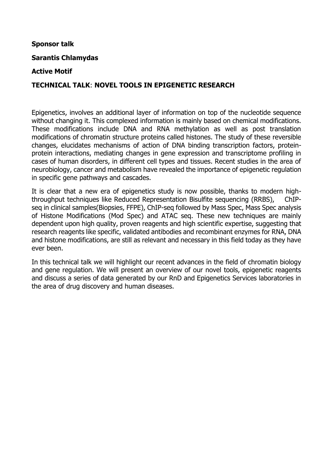# **Sponsor talk**

# **Sarantis Chlamydas**

# **Active Motif**

# **TECHNICAL TALK**: **NOVEL TOOLS IN EPIGENETIC RESEARCH**

Epigenetics, involves an additional layer of information on top of the nucleotide sequence without changing it. This complexed information is mainly based on chemical modifications. These modifications include DNA and RNA methylation as well as post translation modifications of chromatin structure proteins called histones. The study of these reversible changes, elucidates mechanisms of action of DNA binding transcription factors, proteinprotein interactions, mediating changes in gene expression and transcriptome profiling in cases of human disorders, in different cell types and tissues. Recent studies in the area of neurobiology, cancer and metabolism have revealed the importance of epigenetic regulation in specific gene pathways and cascades.

It is clear that a new era of epigenetics study is now possible, thanks to modern highthroughput techniques like Reduced Representation Bisulfite sequencing (RRBS), ChIPseq in clinical samples(Biopsies, FFPE), ChIP-seq followed by Mass Spec, Mass Spec analysis of Histone Modifications (Mod Spec) and ATAC seq. These new techniques are mainly dependent upon high quality, proven reagents and high scientific expertise, suggesting that research reagents like specific, validated antibodies and recombinant enzymes for RNA, DNA and histone modifications, are still as relevant and necessary in this field today as they have ever been.

In this technical talk we will highlight our recent advances in the field of chromatin biology and gene regulation. We will present an overview of our novel tools, epigenetic reagents and discuss a series of data generated by our RnD and Epigenetics Services laboratories in the area of drug discovery and human diseases.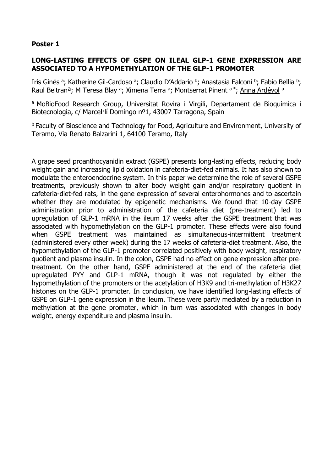# **LONG-LASTING EFFECTS OF GSPE ON ILEAL GLP-1 GENE EXPRESSION ARE ASSOCIATED TO A HYPOMETHYLATION OF THE GLP-1 PROMOTER**

Iris Ginés ª; Katherine Gil-Cardoso ª; Claudio D'Addario b; Anastasia Falconi b; Fabio Bellia b; Raul Beltran<sup>a</sup>; M Teresa Blay <sup>a</sup>; Ximena Terra <sup>a</sup>; Montserrat Pinent <sup>a \*</sup>; <u>Anna Ardévol</u> a

a MoBioFood Research Group, Universitat Rovira i Virgili, Departament de Bioquímica i Biotecnologia, c/ Marcel·lí Domingo nº1, 43007 Tarragona, Spain

**b Faculty of Bioscience and Technology for Food, Agriculture and Environment, University of** Teramo, Via Renato Balzarini 1, 64100 Teramo, Italy

A grape seed proanthocyanidin extract (GSPE) presents long-lasting effects, reducing body weight gain and increasing lipid oxidation in cafeteria-diet-fed animals. It has also shown to modulate the enteroendocrine system. In this paper we determine the role of several GSPE treatments, previously shown to alter body weight gain and/or respiratory quotient in cafeteria-diet-fed rats, in the gene expression of several enterohormones and to ascertain whether they are modulated by epigenetic mechanisms. We found that 10-day GSPE administration prior to administration of the cafeteria diet (pre-treatment) led to upregulation of GLP-1 mRNA in the ileum 17 weeks after the GSPE treatment that was associated with hypomethylation on the GLP-1 promoter. These effects were also found when GSPE treatment was maintained as simultaneous-intermittent treatment (administered every other week) during the 17 weeks of cafeteria-diet treatment. Also, the hypomethylation of the GLP-1 promoter correlated positively with body weight, respiratory quotient and plasma insulin. In the colon, GSPE had no effect on gene expression after pretreatment. On the other hand, GSPE administered at the end of the cafeteria diet upregulated PYY and GLP-1 mRNA, though it was not regulated by either the hypomethylation of the promoters or the acetylation of H3K9 and tri-methylation of H3K27 histones on the GLP-1 promoter. In conclusion, we have identified long-lasting effects of GSPE on GLP-1 gene expression in the ileum. These were partly mediated by a reduction in methylation at the gene promoter, which in turn was associated with changes in body weight, energy expenditure and plasma insulin.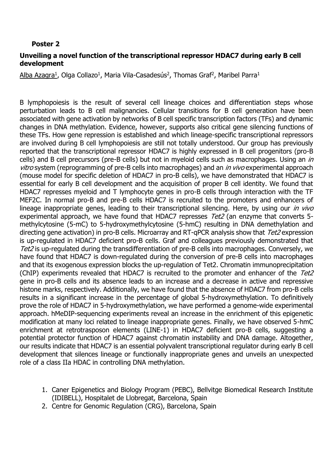# **Unveiling a novel function of the transcriptional repressor HDAC7 during early B cell development**

Alba Azagra<sup>1</sup>, Olga Collazo<sup>1</sup>, Maria Vila-Casadesús<sup>2</sup>, Thomas Graf<sup>2</sup>, Maribel Parra<sup>1</sup>

B lymphopoiesis is the result of several cell lineage choices and differentiation steps whose perturbation leads to B cell malignancies. Cellular transitions for B cell generation have been associated with gene activation by networks of B cell specific transcription factors (TFs) and dynamic changes in DNA methylation. Evidence, however, supports also critical gene silencing functions of these TFs. How gene repression is established and which lineage-specific transcriptional repressors are involved during B cell lymphopoiesis are still not totally understood. Our group has previously reported that the transcriptional repressor HDAC7 is highly expressed in B cell progenitors (pro-B cells) and B cell precursors (pre-B cells) but not in myeloid cells such as macrophages. Using an in vitro system (reprogramming of pre-B cells into macrophages) and an *in vivo* experimental approach (mouse model for specific deletion of HDAC7 in pro-B cells), we have demonstrated that HDAC7 is essential for early B cell development and the acquisition of proper B cell identity. We found that HDAC7 represses myeloid and T lymphocyte genes in pro-B cells through interaction with the TF MEF2C. In normal pro-B and pre-B cells HDAC7 is recruited to the promoters and enhancers of lineage inappropriate genes, leading to their transcriptional silencing. Here, by using our *in vivo* experimental approach, we have found that HDAC7 represses Tet2 (an enzyme that converts 5methylcytosine (5-mC) to 5-hydroxymethylcytosine (5-hmC) resulting in DNA demethylation and directing gene activation) in pro-B cells. Microarray and RT-gPCR analysis show that Tet2 expression is up-regulated in HDAC7 deficient pro-B cells. Graf and colleagues previously demonstrated that Tet2 is up-regulated during the transdifferentiation of pre-B cells into macrophages. Conversely, we have found that HDAC7 is down-regulated during the conversion of pre-B cells into macrophages and that its exogenous expression blocks the up-regulation of Tet2. Chromatin immunoprecipitation (ChIP) experiments revealed that HDAC7 is recruited to the promoter and enhancer of the Tet2 gene in pro-B cells and its absence leads to an increase and a decrease in active and repressive histone marks, respectively. Additionally, we have found that the absence of HDAC7 from pro-B cells results in a significant increase in the percentage of global 5-hydroxymethylation. To definitively prove the role of HDAC7 in 5-hydroxymethylation, we have performed a genome-wide experimental approach. hMeDIP-sequencing experiments reveal an increase in the enrichment of this epigenetic modification at many loci related to lineage inappropriate genes. Finally, we have observed 5-hmC enrichment at retrotrasposon elements (LINE-1) in HDAC7 deficient pro-B cells, suggesting a potential protector function of HDAC7 against chromatin instability and DNA damage. Altogether, our results indicate that HDAC7 is an essential polyvalent transcriptional regulator during early B cell development that silences lineage or functionally inappropriate genes and unveils an unexpected role of a class IIa HDAC in controlling DNA methylation.

- 1. Caner Epigenetics and Biology Program (PEBC), Bellvitge Biomedical Research Institute (IDIBELL), Hospitalet de Llobregat, Barcelona, Spain
- 2. Centre for Genomic Regulation (CRG), Barcelona, Spain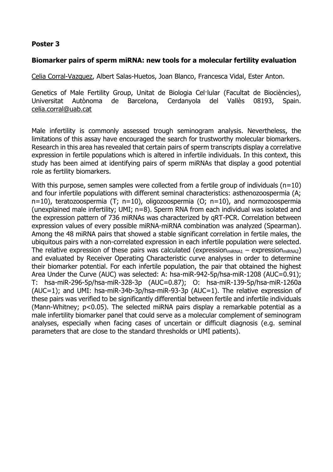# **Biomarker pairs of sperm miRNA: new tools for a molecular fertility evaluation**

Celia Corral-Vazquez, Albert Salas-Huetos, Joan Blanco, Francesca Vidal, Ester Anton.

Genetics of Male Fertility Group, Unitat de Biologia Cel·lular (Facultat de Biociències), Universitat Autònoma de Barcelona, Cerdanyola del Vallès 08193, Spain. [celia.corral@uab.cat](mailto:celia.corral@uab.cat)

Male infertility is commonly assessed trough seminogram analysis. Nevertheless, the limitations of this assay have encouraged the search for trustworthy molecular biomarkers. Research in this area has revealed that certain pairs of sperm transcripts display a correlative expression in fertile populations which is altered in infertile individuals. In this context, this study has been aimed at identifying pairs of sperm miRNAs that display a good potential role as fertility biomarkers.

With this purpose, semen samples were collected from a fertile group of individuals ( $n=10$ ) and four infertile populations with different seminal characteristics: asthenozoospermia (A; n=10), teratozoospermia (T; n=10), oligozoospermia (O; n=10), and normozoospermia (unexplained male infertility; UMI; n=8). Sperm RNA from each individual was isolated and the expression pattern of 736 miRNAs was characterized by qRT-PCR. Correlation between expression values of every possible miRNA-miRNA combination was analyzed (Spearman). Among the 48 miRNA pairs that showed a stable significant correlation in fertile males, the ubiquitous pairs with a non-correlated expression in each infertile population were selected. The relative expression of these pairs was calculated (expression<sub>miRNA1</sub> – expression<sub>miRNA2</sub>) and evaluated by Receiver Operating Characteristic curve analyses in order to determine their biomarker potential. For each infertile population, the pair that obtained the highest Area Under the Curve (AUC) was selected: A: hsa-miR-942-5p/hsa-miR-1208 (AUC=0.91); T: hsa-miR-296-5p/hsa-miR-328-3p (AUC=0.87); O: hsa-miR-139-5p/hsa-miR-1260a (AUC=1); and UMI: hsa-miR-34b-3p/hsa-miR-93-3p (AUC=1). The relative expression of these pairs was verified to be significantly differential between fertile and infertile individuals (Mann-Whitney; p<0.05). The selected miRNA pairs display a remarkable potential as a male infertility biomarker panel that could serve as a molecular complement of seminogram analyses, especially when facing cases of uncertain or difficult diagnosis (e.g. seminal parameters that are close to the standard thresholds or UMI patients).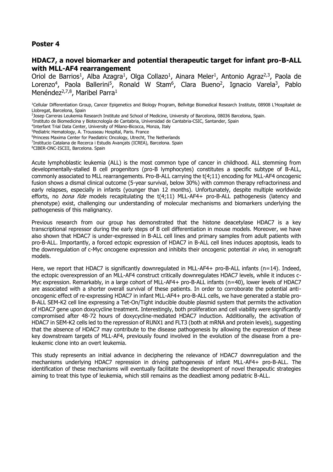#### **HDAC7, a novel biomarker and potential therapeutic target for infant pro-B-ALL with MLL-AF4 rearrangement**

Oriol de Barrios<sup>1</sup>, Alba Azagra<sup>1</sup>, Olga Collazo<sup>1</sup>, Ainara Meler<sup>1</sup>, Antonio Agraz<sup>2,3</sup>, Paola de Lorenzo<sup>4</sup>, Paola Ballerini<sup>5</sup>, Ronald W Stam<sup>6</sup>, Clara Bueno<sup>2</sup>, Ignacio Varela<sup>3</sup>, Pablo Menéndez<sup>2,7,8</sup>, Maribel Parra<sup>1</sup>

- 2 Josep Carreras Leukemia Research Institute and School of Medicine, University of Barcelona, 08036 Barcelona, Spain.
- 3 Instituto de Biomedicina y Biotecnología de Cantabria, Universidad de Cantabria-CSIC, Santander, Spain
- 4 Interfant Trial Data Center, University of Milano-Bicocca, Monza, Italy
- <sup>5</sup>Pediatric Hematology, A. Trousseau Hospital, Paris. France
- <sup>6</sup>Princess Maxima Center for Paediatric Oncology, Utrecht, The Netherlands
- 7 Institucio Catalana de Recerca i Estudis Avançats (ICREA), Barcelona. Spain
- <sup>8</sup>CIBER-ONC-ISCIII, Barcelona. Spain

Acute lymphoblastic leukemia (ALL) is the most common type of cancer in childhood. ALL stemming from developmentally-stalled B cell progenitors (pro-B lymphocytes) constitutes a specific subtype of B-ALL, commonly associated to MLL rearrangements. Pro-B-ALL carrying the t(4;11) encoding for MLL-AF4 oncogenic fusion shows a dismal clinical outcome (5-year survival, below 30%) with common therapy refractoriness and early relapses, especially in infants (younger than 12 months). Unfortunately, despite multiple worldwide efforts, no *bona fide* models recapitulating the  $t(4;11)$  MLL-AF4+ pro-B-ALL pathogenesis (latency and phenotype) exist, challenging our understanding of molecular mechanisms and biomarkers underlying the pathogenesis of this malignancy.

Previous research from our group has demonstrated that the histone deacetylase HDAC7 is a key transcriptional repressor during the early steps of B cell differentiation in mouse models. Moreover, we have also shown that HDAC7 is under-expressed in B-ALL cell lines and primary samples from adult patients with pro-B-ALL. Importantly, a forced ectopic expression of HDAC7 in B-ALL cell lines induces apoptosis, leads to the downregulation of c-Myc oncogene expression and inhibits their oncogenic potential in vivo, in xenograft models.

Here, we report that HDAC7 is significantly downregulated in MLL-AF4+ pro-B-ALL infants (n=14). Indeed, the ectopic overexpression of an MLL-AF4 construct critically downregulates HDAC7 levels, while it induces c-Myc expression. Remarkably, in a large cohort of MLL-AF4+ pro-B-ALL infants (n=40), lower levels of HDAC7 are associated with a shorter overall survival of these patients. In order to corroborate the potential antioncogenic effect of re-expressing HDAC7 in infant MLL-AF4+ pro-B-ALL cells, we have generated a stable pro-B-ALL SEM-K2 cell line expressing a Tet-On/Tight inducible double plasmid system that permits the activation of HDAC7 gene upon doxycycline treatment. Interestingly, both proliferation and cell viability were significantly compromised after 48-72 hours of doxycycline-mediated HDAC7 induction. Additionally, the activation of HDAC7 in SEM-K2 cells led to the repression of RUNX1 and FLT3 (both at mRNA and protein levels), suggesting that the absence of HDAC7 may contribute to the disease pathogenesis by allowing the expression of these key downstream targets of MLL-AF4, previously found involved in the evolution of the disease from a preleukemic clone into an overt leukemia.

This study represents an initial advance in deciphering the relevance of HDAC7 downregulation and the mechanisms underlying HDAC7 repression in driving pathogenesis of infant MLL-AF4+ pro-B-ALL. The identification of these mechanisms will eventually facilitate the development of novel therapeutic strategies aiming to treat this type of leukemia, which still remains as the deadliest among pediatric B-ALL.

<sup>1</sup>Cellular Differentiation Group, Cancer Epigenetics and Biology Program, Bellvitge Biomedical Research Institute, 08908 L'Hospitalet de Llobregat, Barcelona, Spain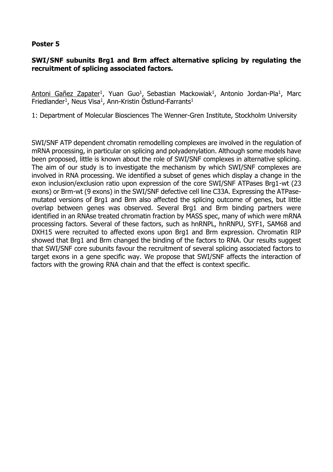# **SWI/SNF subunits Brg1 and Brm affect alternative splicing by regulating the recruitment of splicing associated factors.**

Antoni Gañez Zapater<sup>1</sup>, Yuan Guo<sup>1</sup>, Sebastian Mackowiak<sup>1</sup>, Antonio Jordan-Pla<sup>1</sup>, Marc Friedlander<sup>1</sup>, Neus Visa<sup>1</sup>, Ann-Kristin Östlund-Farrants<sup>1</sup>

1: Department of Molecular Biosciences The Wenner-Gren Institute, Stockholm University

SWI/SNF ATP dependent chromatin remodelling complexes are involved in the regulation of mRNA processing, in particular on splicing and polyadenylation. Although some models have been proposed, little is known about the role of SWI/SNF complexes in alternative splicing. The aim of our study is to investigate the mechanism by which SWI/SNF complexes are involved in RNA processing. We identified a subset of genes which display a change in the exon inclusion/exclusion ratio upon expression of the core SWI/SNF ATPases Brg1-wt (23 exons) or Brm-wt (9 exons) in the SWI/SNF defective cell line C33A. Expressing the ATPasemutated versions of Brg1 and Brm also affected the splicing outcome of genes, but little overlap between genes was observed. Several Brg1 and Brm binding partners were identified in an RNAse treated chromatin fraction by MASS spec, many of which were mRNA processing factors. Several of these factors, such as hnRNPL, hnRNPU, SYF1, SAM68 and DXH15 were recruited to affected exons upon Brg1 and Brm expression. Chromatin RIP showed that Brg1 and Brm changed the binding of the factors to RNA. Our results suggest that SWI/SNF core subunits favour the recruitment of several splicing associated factors to target exons in a gene specific way. We propose that SWI/SNF affects the interaction of factors with the growing RNA chain and that the effect is context specific.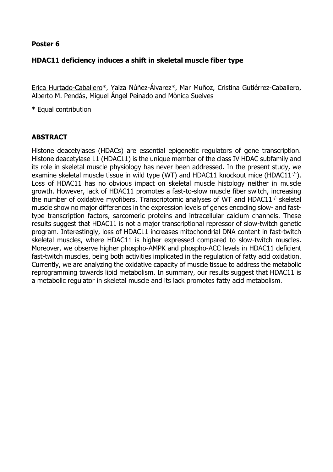# **HDAC11 deficiency induces a shift in skeletal muscle fiber type**

Erica Hurtado-Caballero\*, Yaiza Núñez-Álvarez\*, Mar Muñoz, Cristina Gutiérrez-Caballero, Alberto M. Pendás, Miguel Ángel Peinado and Mònica Suelves

\* Equal contribution

# **ABSTRACT**

Histone deacetylases (HDACs) are essential epigenetic regulators of gene transcription. Histone deacetylase 11 (HDAC11) is the unique member of the class IV HDAC subfamily and its role in skeletal muscle physiology has never been addressed. In the present study, we examine skeletal muscle tissue in wild type (WT) and HDAC11 knockout mice (HDAC11<sup>-/-</sup>). Loss of HDAC11 has no obvious impact on skeletal muscle histology neither in muscle growth. However, lack of HDAC11 promotes a fast-to-slow muscle fiber switch, increasing the number of oxidative myofibers. Transcriptomic analyses of WT and HDAC11 $\cdot$  skeletal muscle show no major differences in the expression levels of genes encoding slow- and fasttype transcription factors, sarcomeric proteins and intracellular calcium channels. These results suggest that HDAC11 is not a major transcriptional repressor of slow-twitch genetic program. Interestingly, loss of HDAC11 increases mitochondrial DNA content in fast-twitch skeletal muscles, where HDAC11 is higher expressed compared to slow-twitch muscles. Moreover, we observe higher phospho-AMPK and phospho-ACC levels in HDAC11 deficient fast-twitch muscles, being both activities implicated in the regulation of fatty acid oxidation. Currently, we are analyzing the oxidative capacity of muscle tissue to address the metabolic reprogramming towards lipid metabolism. In summary, our results suggest that HDAC11 is a metabolic regulator in skeletal muscle and its lack promotes fatty acid metabolism.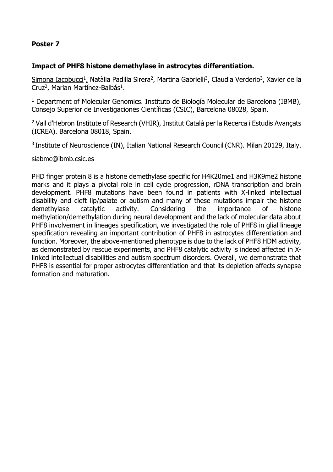# **Impact of PHF8 histone demethylase in astrocytes differentiation.**

Simona Iacobucci<sup>1</sup>, Natàlia Padilla Sirera<sup>2</sup>, Martina Gabrielli<sup>3</sup>, Claudia Verderio<sup>3</sup>, Xavier de la Cruz<sup>2</sup>, Marian Martínez-Balbás<sup>1</sup>.

<sup>1</sup> Department of Molecular Genomics. Instituto de Biología Molecular de Barcelona (IBMB), Consejo Superior de Investigaciones Científicas (CSIC), Barcelona 08028, Spain.

<sup>2</sup> Vall d'Hebron Institute of Research (VHIR), Institut Català per la Recerca i Estudis Avançats (ICREA). Barcelona 08018, Spain.

<sup>3</sup> Institute of Neuroscience (IN), Italian National Research Council (CNR). Milan 20129, Italy.

siabmc@ibmb.csic.es

PHD finger protein 8 is a histone demethylase specific for H4K20me1 and H3K9me2 histone marks and it plays a pivotal role in cell cycle progression, rDNA transcription and brain development. PHF8 mutations have been found in patients with X-linked intellectual disability and cleft lip/palate or autism and many of these mutations impair the histone demethylase catalytic activity. Considering the importance of histone methylation/demethylation during neural development and the lack of molecular data about PHF8 involvement in lineages specification, we investigated the role of PHF8 in glial lineage specification revealing an important contribution of PHF8 in astrocytes differentiation and function. Moreover, the above-mentioned phenotype is due to the lack of PHF8 HDM activity, as demonstrated by rescue experiments, and PHF8 catalytic activity is indeed affected in Xlinked intellectual disabilities and autism spectrum disorders. Overall, we demonstrate that PHF8 is essential for proper astrocytes differentiation and that its depletion affects synapse formation and maturation.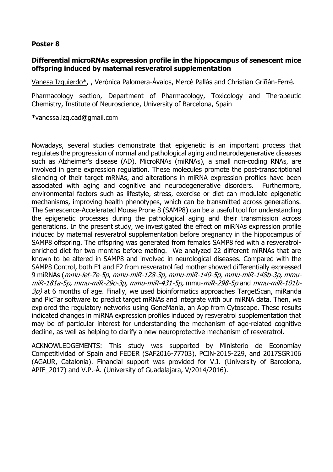# **Differential microRNAs expression profile in the hippocampus of senescent mice offspring induced by maternal resveratrol supplementation**

Vanesa Izquierdo\*, , Verónica Palomera-Ávalos, Mercè Pallàs and Christian Griñán-Ferré.

Pharmacology section, Department of Pharmacology, Toxicology and Therapeutic Chemistry, Institute of Neuroscience, University of Barcelona, Spain

\*vanessa.izq.cad@gmail.com

Nowadays, several studies demonstrate that epigenetic is an important process that regulates the progression of normal and pathological aging and neurodegenerative diseases such as Alzheimer's disease (AD). MicroRNAs (miRNAs), a small non-coding RNAs, are involved in gene expression regulation. These molecules promote the post-transcriptional silencing of their target mRNAs, and alterations in miRNA expression profiles have been associated with aging and cognitive and neurodegenerative disorders. Furthermore, environmental factors such as lifestyle, stress, exercise or diet can modulate epigenetic mechanisms, improving health phenotypes, which can be transmitted across generations. The Senescence-Accelerated Mouse Prone 8 (SAMP8) can be a useful tool for understanding the epigenetic processes during the pathological aging and their transmission across generations. In the present study, we investigated the effect on miRNAs expression profile induced by maternal resveratrol supplementation before pregnancy in the hippocampus of SAMP8 offspring. The offspring was generated from females SAMP8 fed with a resveratrolenriched diet for two months before mating. We analyzed 22 different miRNAs that are known to be altered in SAMP8 and involved in neurological diseases. Compared with the SAMP8 Control, both F1 and F2 from resveratrol fed mother showed differentially expressed 9 miRNAs (mmu-let-7e-5p, mmu-miR-128-3p, mmu-miR-140-5p, mmu-miR-148b-3p, mmumiR-181a-5p, mmu-miR-29c-3p, mmu-miR-431-5p, mmu-miR-298-5p and mmu-miR-101b- $3p$ ) at 6 months of age. Finally, we used bioinformatics approaches TargetScan, miRanda and PicTar software to predict target mRNAs and integrate with our miRNA data. Then, we explored the regulatory networks using GeneMania, an App from Cytoscape. These results indicated changes in miRNA expression profiles induced by resveratrol supplementation that may be of particular interest for understanding the mechanism of age-related cognitive decline, as well as helping to clarify a new neuroprotective mechanism of resveratrol.

ACKNOWLEDGEMENTS: This study was supported by Ministerio de Economíay Competitividad of Spain and FEDER (SAF2016-77703), PCIN-2015-229, and 2017SGR106 (AGAUR, Catalonia). Financial support was provided for V.I. (University of Barcelona, APIF\_2017) and V.P.-Á. (University of Guadalajara, V/2014/2016).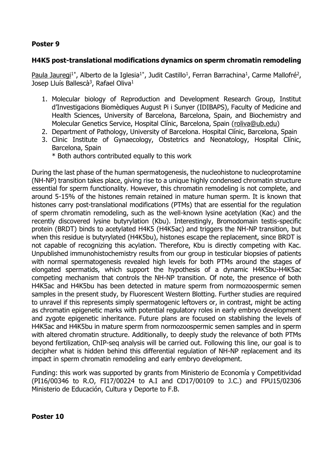# **H4K5 post-translational modifications dynamics on sperm chromatin remodeling**

Paula Jauregi<sup>1\*</sup>, Alberto de la Iglesia<sup>1\*</sup>, Judit Castillo<sup>1</sup>, Ferran Barrachina<sup>1</sup>, Carme Mallofré<sup>2</sup>, Josep Lluís Ballescà<sup>3</sup>, Rafael Oliva<sup>1</sup>

- 1. Molecular biology of Reproduction and Development Research Group, Institut d'Investigacions Biomèdiques August Pi i Sunyer (IDIBAPS), Faculty of Medicine and Health Sciences, University of Barcelona, Barcelona, Spain, and Biochemistry and Molecular Genetics Service, Hospital Clínic, Barcelona, Spain [\(roliva@ub.edu\)](mailto:roliva@ub.edu)
- 2. Department of Pathology, University of Barcelona. Hospital Clínic, Barcelona, Spain
- 3. Clinic Institute of Gynaecology, Obstetrics and Neonatology, Hospital Clínic, Barcelona, Spain
	- \* Both authors contributed equally to this work

During the last phase of the human spermatogenesis, the nucleohistone to nucleoprotamine (NH-NP) transition takes place, giving rise to a unique highly condensed chromatin structure essential for sperm functionality. However, this chromatin remodeling is not complete, and around 5-15% of the histones remain retained in mature human sperm. It is known that histones carry post-translational modifications (PTMs) that are essential for the regulation of sperm chromatin remodeling, such as the well-known lysine acetylation (Kac) and the recently discovered lysine butyrylation (Kbu). Interestingly, Bromodomain testis-specific protein (BRDT) binds to acetylated H4K5 (H4K5ac) and triggers the NH-NP transition, but when this residue is butyrylated (H4K5bu), histones escape the replacement, since BRDT is not capable of recognizing this acylation. Therefore, Kbu is directly competing with Kac. Unpublished immunohistochemistry results from our group in testicular biopsies of patients with normal spermatogenesis revealed high levels for both PTMs around the stages of elongated spermatids, which support the hypothesis of a dynamic H4K5bu-H4K5ac competing mechanism that controls the NH-NP transition. Of note, the presence of both H4K5ac and H4K5bu has been detected in mature sperm from normozoospermic semen samples in the present study, by Fluorescent Western Blotting. Further studies are required to unravel if this represents simply spermatogenic leftovers or, in contrast, might be acting as chromatin epigenetic marks with potential regulatory roles in early embryo development and zygote epigenetic inheritance. Future plans are focused on stablishing the levels of H4K5ac and H4K5bu in mature sperm from normozoospermic semen samples and in sperm with altered chromatin structure. Additionally, to deeply study the relevance of both PTMs beyond fertilization, ChIP-seq analysis will be carried out. Following this line, our goal is to decipher what is hidden behind this differential regulation of NH-NP replacement and its impact in sperm chromatin remodeling and early embryo development.

Funding: this work was supported by grants from Ministerio de Economía y Competitividad (PI16/00346 to R.O, FI17/00224 to A.I and CD17/00109 to J.C.) and FPU15/02306 Ministerio de Educación, Cultura y Deporte to F.B.

**Poster 10**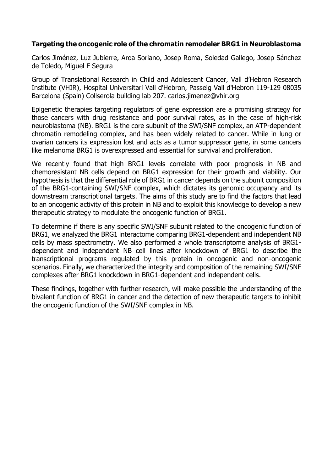# **Targeting the oncogenic role of the chromatin remodeler BRG1 in Neuroblastoma**

Carlos Jiménez, Luz Jubierre, Aroa Soriano, Josep Roma, Soledad Gallego, Josep Sánchez de Toledo, Miguel F Segura

Group of Translational Research in Child and Adolescent Cancer, Vall d'Hebron Research Institute (VHIR), Hospital Universitari Vall d'Hebron, Passeig Vall d'Hebron 119-129 08035 Barcelona (Spain) Collserola building lab 207. carlos.jimenez@vhir.org

Epigenetic therapies targeting regulators of gene expression are a promising strategy for those cancers with drug resistance and poor survival rates, as in the case of high-risk neuroblastoma (NB). BRG1 is the core subunit of the SWI/SNF complex, an ATP-dependent chromatin remodeling complex, and has been widely related to cancer. While in lung or ovarian cancers its expression lost and acts as a tumor suppressor gene, in some cancers like melanoma BRG1 is overexpressed and essential for survival and proliferation.

We recently found that high BRG1 levels correlate with poor prognosis in NB and chemoresistant NB cells depend on BRG1 expression for their growth and viability. Our hypothesis is that the differential role of BRG1 in cancer depends on the subunit composition of the BRG1-containing SWI/SNF complex, which dictates its genomic occupancy and its downstream transcriptional targets. The aims of this study are to find the factors that lead to an oncogenic activity of this protein in NB and to exploit this knowledge to develop a new therapeutic strategy to modulate the oncogenic function of BRG1.

To determine if there is any specific SWI/SNF subunit related to the oncogenic function of BRG1, we analyzed the BRG1 interactome comparing BRG1-dependent and independent NB cells by mass spectrometry. We also performed a whole transcriptome analysis of BRG1 dependent and independent NB cell lines after knockdown of BRG1 to describe the transcriptional programs regulated by this protein in oncogenic and non-oncogenic scenarios. Finally, we characterized the integrity and composition of the remaining SWI/SNF complexes after BRG1 knockdown in BRG1-dependent and independent cells.

These findings, together with further research, will make possible the understanding of the bivalent function of BRG1 in cancer and the detection of new therapeutic targets to inhibit the oncogenic function of the SWI/SNF complex in NB.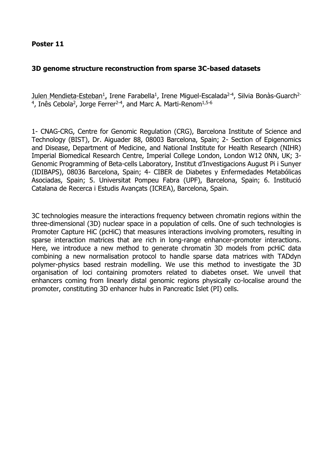# **3D genome structure reconstruction from sparse 3C-based datasets**

Julen Mendieta-Esteban<sup>1</sup>, Irene Farabella<sup>1</sup>, Irene Miguel-Escalada<sup>2-4</sup>, Silvia Bonàs-Guarch<sup>2-</sup> <sup>4</sup>, Inês Cebola<sup>2</sup>, Jorge Ferrer<sup>2-4</sup>, and Marc A. Marti-Renom<sup>1,5-6</sup>

1- CNAG-CRG, Centre for Genomic Regulation (CRG), Barcelona Institute of Science and Technology (BIST), Dr. Aiguader 88, 08003 Barcelona, Spain; 2- Section of Epigenomics and Disease, Department of Medicine, and National Institute for Health Research (NIHR) Imperial Biomedical Research Centre, Imperial College London, London W12 0NN, UK; 3- Genomic Programming of Beta-cells Laboratory, Institut d'Investigacions August Pi i Sunyer (IDIBAPS), 08036 Barcelona, Spain; 4- CIBER de Diabetes y Enfermedades Metabólicas Asociadas, Spain; 5. Universitat Pompeu Fabra (UPF), Barcelona, Spain; 6. Institució Catalana de Recerca i Estudis Avançats (ICREA), Barcelona, Spain.

3C technologies measure the interactions frequency between chromatin regions within the three-dimensional (3D) nuclear space in a population of cells. One of such technologies is Promoter Capture HiC (pcHiC) that measures interactions involving promoters, resulting in sparse interaction matrices that are rich in long-range enhancer-promoter interactions. Here, we introduce a new method to generate chromatin 3D models from pcHiC data combining a new normalisation protocol to handle sparse data matrices with TADdyn polymer-physics based restrain modelling. We use this method to investigate the 3D organisation of loci containing promoters related to diabetes onset. We unveil that enhancers coming from linearly distal genomic regions physically co-localise around the promoter, constituting 3D enhancer hubs in Pancreatic Islet (PI) cells.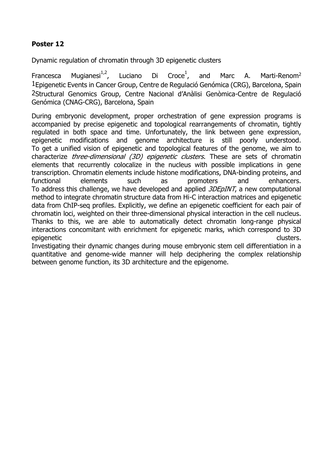Dynamic regulation of chromatin through 3D epigenetic clusters

Francesca Mugianesi<sup>1,2</sup>, Luciano Di Croce<sup>1</sup>, and Marc A. Marti-Renom<sup>2</sup> 1Epigenetic Events in Cancer Group, Centre de Regulació Genómica (CRG), Barcelona, Spain 2Structural Genomics Group, Centre Nacional d'Anàlisi Genòmica-Centre de Regulació Genómica (CNAG-CRG), Barcelona, Spain

During embryonic development, proper orchestration of gene expression programs is accompanied by precise epigenetic and topological rearrangements of chromatin, tightly regulated in both space and time. Unfortunately, the link between gene expression, epigenetic modifications and genome architecture is still poorly understood. To get a unified vision of epigenetic and topological features of the genome, we aim to characterize *three-dimensional (3D) epigenetic clusters*. These are sets of chromatin elements that recurrently colocalize in the nucleus with possible implications in gene transcription. Chromatin elements include histone modifications, DNA-binding proteins, and functional elements such as promoters and enhancers. To address this challenge, we have developed and applied *3DEpINT*, a new computational method to integrate chromatin structure data from Hi-C interaction matrices and epigenetic data from ChIP-seq profiles. Explicitly, we define an epigenetic coefficient for each pair of chromatin loci, weighted on their three-dimensional physical interaction in the cell nucleus. Thanks to this, we are able to automatically detect chromatin long-range physical interactions concomitant with enrichment for epigenetic marks, which correspond to 3D epigenetic clusters.

Investigating their dynamic changes during mouse embryonic stem cell differentiation in a quantitative and genome-wide manner will help deciphering the complex relationship between genome function, its 3D architecture and the epigenome.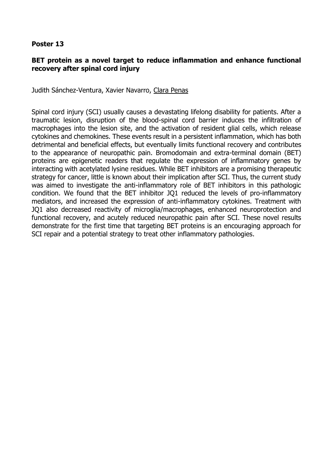# **BET protein as a novel target to reduce inflammation and enhance functional recovery after spinal cord injury**

Judith Sánchez-Ventura, Xavier Navarro, Clara Penas

Spinal cord injury (SCI) usually causes a devastating lifelong disability for patients. After a traumatic lesion, disruption of the blood-spinal cord barrier induces the infiltration of macrophages into the lesion site, and the activation of resident glial cells, which release cytokines and chemokines. These events result in a persistent inflammation, which has both detrimental and beneficial effects, but eventually limits functional recovery and contributes to the appearance of neuropathic pain. Bromodomain and extra-terminal domain (BET) proteins are epigenetic readers that regulate the expression of inflammatory genes by interacting with acetylated lysine residues. While BET inhibitors are a promising therapeutic strategy for cancer, little is known about their implication after SCI. Thus, the current study was aimed to investigate the anti-inflammatory role of BET inhibitors in this pathologic condition. We found that the BET inhibitor JQ1 reduced the levels of pro-inflammatory mediators, and increased the expression of anti-inflammatory cytokines. Treatment with JQ1 also decreased reactivity of microglia/macrophages, enhanced neuroprotection and functional recovery, and acutely reduced neuropathic pain after SCI. These novel results demonstrate for the first time that targeting BET proteins is an encouraging approach for SCI repair and a potential strategy to treat other inflammatory pathologies.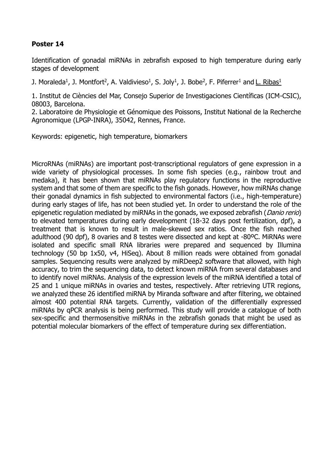Identification of gonadal miRNAs in zebrafish exposed to high temperature during early stages of development

J. Moraleda<sup>1</sup>, J. Montfort<sup>2</sup>, A. Valdivieso<sup>1</sup>, S. Joly<sup>1</sup>, J. Bobe<sup>2</sup>, F. Piferrer<sup>1</sup> and <u>L. Ribas<sup>1</sup></u>

1. Institut de Ciències del Mar, Consejo Superior de Investigaciones Científicas (ICM-CSIC), 08003, Barcelona.

2. Laboratoire de Physiologie et Génomique des Poissons, Institut National de la Recherche Agronomique (LPGP-INRA), 35042, Rennes, France.

Keywords: epigenetic, high temperature, biomarkers

MicroRNAs (miRNAs) are important post-transcriptional regulators of gene expression in a wide variety of physiological processes. In some fish species (e.g., rainbow trout and medaka), it has been shown that miRNAs play regulatory functions in the reproductive system and that some of them are specific to the fish gonads. However, how miRNAs change their gonadal dynamics in fish subjected to environmental factors (i.e., high-temperature) during early stages of life, has not been studied yet. In order to understand the role of the epigenetic regulation mediated by miRNAs in the gonads, we exposed zebrafish (*Danio rerio*) to elevated temperatures during early development (18-32 days post fertilization, dpf), a treatment that is known to result in male-skewed sex ratios. Once the fish reached adulthood (90 dpf), 8 ovaries and 8 testes were dissected and kept at -80ºC. MiRNAs were isolated and specific small RNA libraries were prepared and sequenced by Illumina technology (50 bp 1x50, v4, HiSeq). About 8 million reads were obtained from gonadal samples. Sequencing results were analyzed by miRDeep2 software that allowed, with high accuracy, to trim the sequencing data, to detect known miRNA from several databases and to identify novel miRNAs. Analysis of the expression levels of the miRNA identified a total of 25 and 1 unique miRNAs in ovaries and testes, respectively. After retrieving UTR regions, we analyzed these 26 identified miRNA by Miranda software and after filtering, we obtained almost 400 potential RNA targets. Currently, validation of the differentially expressed miRNAs by qPCR analysis is being performed. This study will provide a catalogue of both sex-specific and thermosensitive miRNAs in the zebrafish gonads that might be used as potential molecular biomarkers of the effect of temperature during sex differentiation.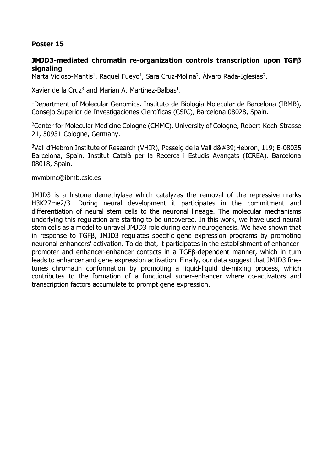# **JMJD3-mediated chromatin re-organization controls transcription upon TGFβ signaling**

<u>Marta Vicioso-Mantis<sup>1</sup>,</u> Raquel Fueyo<sup>1</sup>, Sara Cruz-Molina<sup>2</sup>, Álvaro Rada-Iglesias<sup>2</sup>,

Xavier de la Cruz<sup>3</sup> and Marian A. Martínez-Balbás<sup>1</sup>.

<sup>1</sup>Department of Molecular Genomics. Instituto de Biología Molecular de Barcelona (IBMB), Consejo Superior de Investigaciones Científicas (CSIC), Barcelona 08028, Spain.

<sup>2</sup>Center for Molecular Medicine Cologne (CMMC), University of Cologne, Robert-Koch-Strasse 21, 50931 Cologne, Germany.

<sup>3</sup>Vall d'Hebron Institute of Research (VHIR), Passeig de la Vall d&#39; Hebron, 119; E-08035 Barcelona, Spain. Institut Català per la Recerca i Estudis Avançats (ICREA). Barcelona 08018, Spain**.**

#### mvmbmc@ibmb.csic.es

JMJD3 is a histone demethylase which catalyzes the removal of the repressive marks H3K27me2/3. During neural development it participates in the commitment and differentiation of neural stem cells to the neuronal lineage. The molecular mechanisms underlying this regulation are starting to be uncovered. In this work, we have used neural stem cells as a model to unravel JMJD3 role during early neurogenesis. We have shown that in response to TGFβ, JMJD3 regulates specific gene expression programs by promoting neuronal enhancers' activation. To do that, it participates in the establishment of enhancerpromoter and enhancer-enhancer contacts in a TGFβ-dependent manner, which in turn leads to enhancer and gene expression activation. Finally, our data suggest that JMJD3 finetunes chromatin conformation by promoting a liquid-liquid de-mixing process, which contributes to the formation of a functional super-enhancer where co-activators and transcription factors accumulate to prompt gene expression.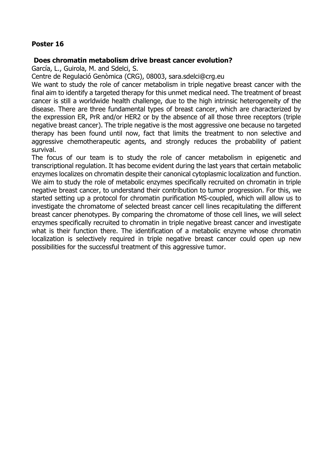# **Does chromatin metabolism drive breast cancer evolution?**

García, L., Guirola, M. and Sdelci, S.

Centre de Regulació Genòmica (CRG), 08003, sara.sdelci@crg.eu

We want to study the role of cancer metabolism in triple negative breast cancer with the final aim to identify a targeted therapy for this unmet medical need. The treatment of breast cancer is still a worldwide health challenge, due to the high intrinsic heterogeneity of the disease. There are three fundamental types of breast cancer, which are characterized by the expression ER, PrR and/or HER2 or by the absence of all those three receptors (triple negative breast cancer). The triple negative is the most aggressive one because no targeted therapy has been found until now, fact that limits the treatment to non selective and aggressive chemotherapeutic agents, and strongly reduces the probability of patient survival.

The focus of our team is to study the role of cancer metabolism in epigenetic and transcriptional regulation. It has become evident during the last years that certain metabolic enzymes localizes on chromatin despite their canonical cytoplasmic localization and function. We aim to study the role of metabolic enzymes specifically recruited on chromatin in triple negative breast cancer, to understand their contribution to tumor progression. For this, we started setting up a protocol for chromatin purification MS-coupled, which will allow us to investigate the chromatome of selected breast cancer cell lines recapitulating the different breast cancer phenotypes. By comparing the chromatome of those cell lines, we will select enzymes specifically recruited to chromatin in triple negative breast cancer and investigate what is their function there. The identification of a metabolic enzyme whose chromatin localization is selectively required in triple negative breast cancer could open up new possibilities for the successful treatment of this aggressive tumor.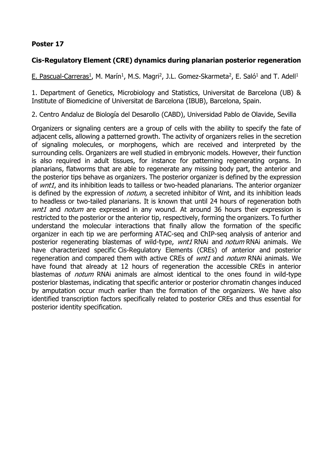# **Cis-Regulatory Element (CRE) dynamics during planarian posterior regeneration**

E. Pascual-Carreras<sup>1</sup>, M. Marín<sup>1</sup>, M.S. Magri<sup>2</sup>, J.L. Gomez-Skarmeta<sup>2</sup>, E. Saló<sup>1</sup> and T. Adell<sup>1</sup>

1. Department of Genetics, Microbiology and Statistics, Universitat de Barcelona (UB) & Institute of Biomedicine of Universitat de Barcelona (IBUB), Barcelona, Spain.

2. Centro Andaluz de Biología del Desarollo (CABD), Universidad Pablo de Olavide, Sevilla

Organizers or signaling centers are a group of cells with the ability to specify the fate of adjacent cells, allowing a patterned growth. The activity of organizers relies in the secretion of signaling molecules, or morphogens, which are received and interpreted by the surrounding cells. Organizers are well studied in embryonic models. However, their function is also required in adult tissues, for instance for patterning regenerating organs. In planarians, flatworms that are able to regenerate any missing body part, the anterior and the posterior tips behave as organizers. The posterior organizer is defined by the expression of *wnt1*, and its inhibition leads to tailless or two-headed planarians. The anterior organizer is defined by the expression of *notum*, a secreted inhibitor of Wnt, and its inhibition leads to headless or two-tailed planarians. It is known that until 24 hours of regeneration both wnt1 and notum are expressed in any wound. At around 36 hours their expression is restricted to the posterior or the anterior tip, respectively, forming the organizers. To further understand the molecular interactions that finally allow the formation of the specific organizer in each tip we are performing ATAC-seq and ChIP-seq analysis of anterior and posterior regenerating blastemas of wild-type, wnt1 RNAi and notum RNAi animals. We have characterized specific Cis-Regulatory Elements (CREs) of anterior and posterior regeneration and compared them with active CREs of *wnt1* and *notum* RNAi animals. We have found that already at 12 hours of regeneration the accessible CREs in anterior blastemas of *notum* RNAi animals are almost identical to the ones found in wild-type posterior blastemas, indicating that specific anterior or posterior chromatin changes induced by amputation occur much earlier than the formation of the organizers. We have also identified transcription factors specifically related to posterior CREs and thus essential for posterior identity specification.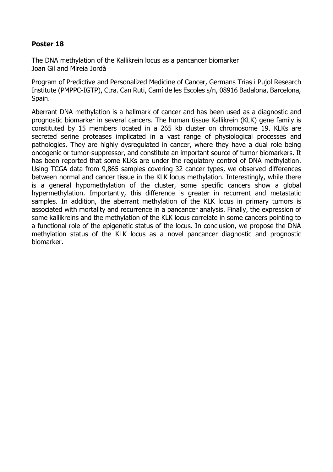The DNA methylation of the Kallikrein locus as a pancancer biomarker Joan Gil and Mireia Jordà

Program of Predictive and Personalized Medicine of Cancer, Germans Trias i Pujol Research Institute (PMPPC-IGTP), Ctra. Can Ruti, Camí de les Escoles s/n, 08916 Badalona, Barcelona, Spain.

Aberrant DNA methylation is a hallmark of cancer and has been used as a diagnostic and prognostic biomarker in several cancers. The human tissue Kallikrein (KLK) gene family is constituted by 15 members located in a 265 kb cluster on chromosome 19. KLKs are secreted serine proteases implicated in a vast range of physiological processes and pathologies. They are highly dysregulated in cancer, where they have a dual role being oncogenic or tumor-suppressor, and constitute an important source of tumor biomarkers. It has been reported that some KLKs are under the regulatory control of DNA methylation. Using TCGA data from 9,865 samples covering 32 cancer types, we observed differences between normal and cancer tissue in the KLK locus methylation. Interestingly, while there is a general hypomethylation of the cluster, some specific cancers show a global hypermethylation. Importantly, this difference is greater in recurrent and metastatic samples. In addition, the aberrant methylation of the KLK locus in primary tumors is associated with mortality and recurrence in a pancancer analysis. Finally, the expression of some kallikreins and the methylation of the KLK locus correlate in some cancers pointing to a functional role of the epigenetic status of the locus. In conclusion, we propose the DNA methylation status of the KLK locus as a novel pancancer diagnostic and prognostic biomarker.